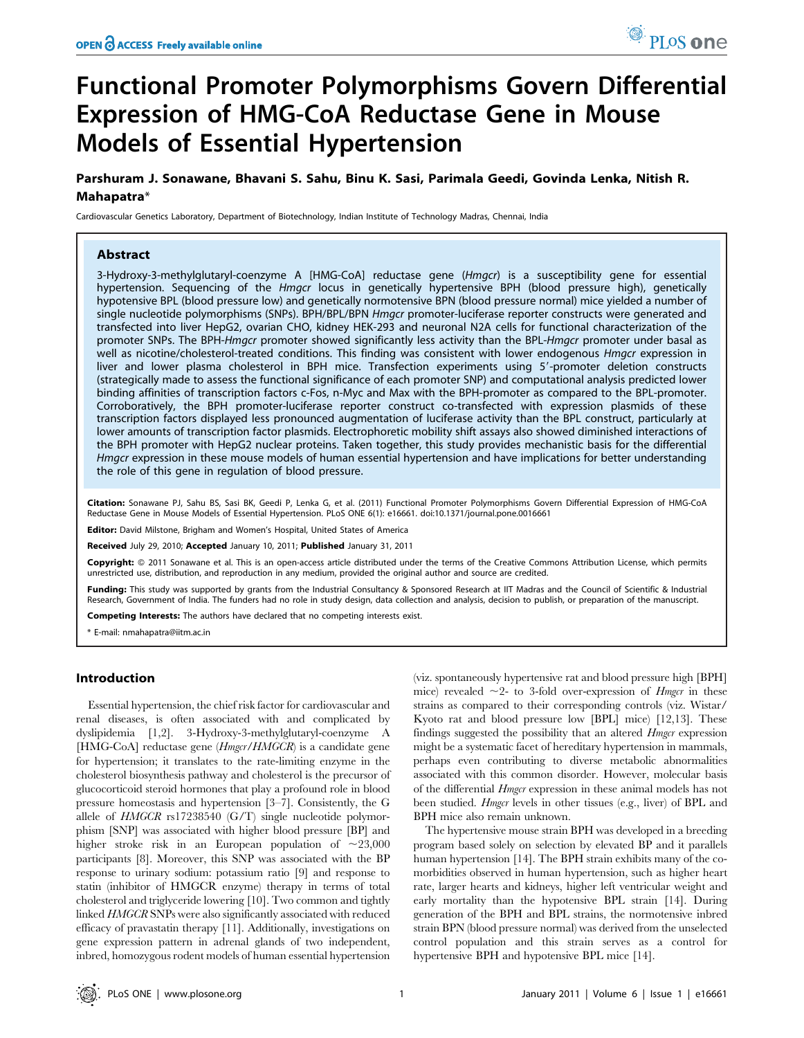# Functional Promoter Polymorphisms Govern Differential Expression of HMG-CoA Reductase Gene in Mouse Models of Essential Hypertension

Parshuram J. Sonawane, Bhavani S. Sahu, Binu K. Sasi, Parimala Geedi, Govinda Lenka, Nitish R. Mahapatra\*

Cardiovascular Genetics Laboratory, Department of Biotechnology, Indian Institute of Technology Madras, Chennai, India

# Abstract

3-Hydroxy-3-methylglutaryl-coenzyme A [HMG-CoA] reductase gene (Hmgcr) is a susceptibility gene for essential hypertension. Sequencing of the *Hmgcr* locus in genetically hypertensive BPH (blood pressure high), genetically hypotensive BPL (blood pressure low) and genetically normotensive BPN (blood pressure normal) mice yielded a number of single nucleotide polymorphisms (SNPs). BPH/BPL/BPN Hmgcr promoter-luciferase reporter constructs were generated and transfected into liver HepG2, ovarian CHO, kidney HEK-293 and neuronal N2A cells for functional characterization of the promoter SNPs. The BPH-Hmgcr promoter showed significantly less activity than the BPL-Hmgcr promoter under basal as well as nicotine/cholesterol-treated conditions. This finding was consistent with lower endogenous *Hmgcr* expression in liver and lower plasma cholesterol in BPH mice. Transfection experiments using 5'-promoter deletion constructs (strategically made to assess the functional significance of each promoter SNP) and computational analysis predicted lower binding affinities of transcription factors c-Fos, n-Myc and Max with the BPH-promoter as compared to the BPL-promoter. Corroboratively, the BPH promoter-luciferase reporter construct co-transfected with expression plasmids of these transcription factors displayed less pronounced augmentation of luciferase activity than the BPL construct, particularly at lower amounts of transcription factor plasmids. Electrophoretic mobility shift assays also showed diminished interactions of the BPH promoter with HepG2 nuclear proteins. Taken together, this study provides mechanistic basis for the differential Hmgcr expression in these mouse models of human essential hypertension and have implications for better understanding the role of this gene in regulation of blood pressure.

Citation: Sonawane PJ, Sahu BS, Sasi BK, Geedi P, Lenka G, et al. (2011) Functional Promoter Polymorphisms Govern Differential Expression of HMG-CoA Reductase Gene in Mouse Models of Essential Hypertension. PLoS ONE 6(1): e16661. doi:10.1371/journal.pone.0016661

**Editor:** David Milstone, Brigham and Women's Hospital, United States of America

Received July 29, 2010; Accepted January 10, 2011; Published January 31, 2011

**Copyright:** © 2011 Sonawane et al. This is an open-access article distributed under the terms of the Creative Commons Attribution License, which permits unrestricted use, distribution, and reproduction in any medium, provided the original author and source are credited.

Funding: This study was supported by grants from the Industrial Consultancy & Sponsored Research at IIT Madras and the Council of Scientific & Industrial Research, Government of India. The funders had no role in study design, data collection and analysis, decision to publish, or preparation of the manuscript.

Competing Interests: The authors have declared that no competing interests exist.

\* E-mail: nmahapatra@iitm.ac.in

# Introduction

Essential hypertension, the chief risk factor for cardiovascular and renal diseases, is often associated with and complicated by dyslipidemia [1,2]. 3-Hydroxy-3-methylglutaryl-coenzyme A [HMG-CoA] reductase gene (*Hmgcr/HMGCR*) is a candidate gene for hypertension; it translates to the rate-limiting enzyme in the cholesterol biosynthesis pathway and cholesterol is the precursor of glucocorticoid steroid hormones that play a profound role in blood pressure homeostasis and hypertension [3–7]. Consistently, the G allele of HMGCR rs17238540 (G/T) single nucleotide polymorphism [SNP] was associated with higher blood pressure [BP] and higher stroke risk in an European population of  $\sim 23,000$ participants [8]. Moreover, this SNP was associated with the BP response to urinary sodium: potassium ratio [9] and response to statin (inhibitor of HMGCR enzyme) therapy in terms of total cholesterol and triglyceride lowering [10]. Two common and tightly linked HMGCR SNPs were also significantly associated with reduced efficacy of pravastatin therapy [11]. Additionally, investigations on gene expression pattern in adrenal glands of two independent, inbred, homozygous rodent models of human essential hypertension

(viz. spontaneously hypertensive rat and blood pressure high [BPH] mice) revealed  $\sim$ 2- to 3-fold over-expression of *Hmgcr* in these strains as compared to their corresponding controls (viz. Wistar/ Kyoto rat and blood pressure low [BPL] mice) [12,13]. These findings suggested the possibility that an altered *Hmgcr* expression might be a systematic facet of hereditary hypertension in mammals, perhaps even contributing to diverse metabolic abnormalities associated with this common disorder. However, molecular basis of the differential Hmgcr expression in these animal models has not been studied. Hmgcr levels in other tissues (e.g., liver) of BPL and BPH mice also remain unknown.

The hypertensive mouse strain BPH was developed in a breeding program based solely on selection by elevated BP and it parallels human hypertension [14]. The BPH strain exhibits many of the comorbidities observed in human hypertension, such as higher heart rate, larger hearts and kidneys, higher left ventricular weight and early mortality than the hypotensive BPL strain [14]. During generation of the BPH and BPL strains, the normotensive inbred strain BPN (blood pressure normal) was derived from the unselected control population and this strain serves as a control for hypertensive BPH and hypotensive BPL mice [14].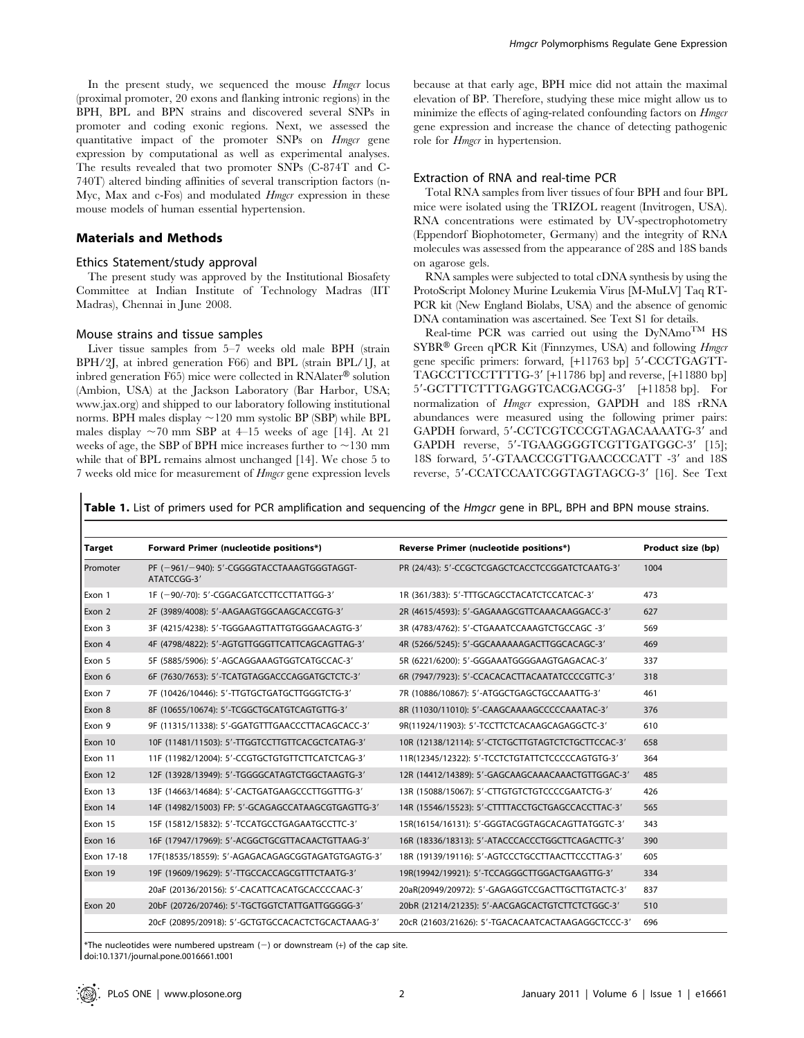In the present study, we sequenced the mouse *Hmgcr* locus (proximal promoter, 20 exons and flanking intronic regions) in the BPH, BPL and BPN strains and discovered several SNPs in promoter and coding exonic regions. Next, we assessed the quantitative impact of the promoter SNPs on Hmgcr gene expression by computational as well as experimental analyses. The results revealed that two promoter SNPs (C-874T and C-740T) altered binding affinities of several transcription factors (n-Myc, Max and c-Fos) and modulated *Hmgcr* expression in these mouse models of human essential hypertension.

## Materials and Methods

# Ethics Statement/study approval

The present study was approved by the Institutional Biosafety Committee at Indian Institute of Technology Madras (IIT Madras), Chennai in June 2008.

#### Mouse strains and tissue samples

Liver tissue samples from 5–7 weeks old male BPH (strain BPH/2J, at inbred generation F66) and BPL (strain BPL/1J, at inbred generation F65) mice were collected in  $\text{RNA}$  solution (Ambion, USA) at the Jackson Laboratory (Bar Harbor, USA; www.jax.org) and shipped to our laboratory following institutional norms. BPH males display  $\sim$ 120 mm systolic BP (SBP) while BPL males display  $\sim$  70 mm SBP at 4–15 weeks of age [14]. At 21 weeks of age, the SBP of BPH mice increases further to  $\sim$ 130 mm while that of BPL remains almost unchanged [14]. We chose 5 to 7 weeks old mice for measurement of Hmgcr gene expression levels

because at that early age, BPH mice did not attain the maximal elevation of BP. Therefore, studying these mice might allow us to minimize the effects of aging-related confounding factors on *Hmgcr* gene expression and increase the chance of detecting pathogenic role for *Hmgcr* in hypertension.

## Extraction of RNA and real-time PCR

Total RNA samples from liver tissues of four BPH and four BPL mice were isolated using the TRIZOL reagent (Invitrogen, USA). RNA concentrations were estimated by UV-spectrophotometry (Eppendorf Biophotometer, Germany) and the integrity of RNA molecules was assessed from the appearance of 28S and 18S bands on agarose gels.

RNA samples were subjected to total cDNA synthesis by using the ProtoScript Moloney Murine Leukemia Virus [M-MuLV] Taq RT-PCR kit (New England Biolabs, USA) and the absence of genomic DNA contamination was ascertained. See Text S1 for details.

Real-time PCR was carried out using the  $DyNAmo^{TM}$  HS  $SYBR^®$  Green qPCR Kit (Finnzymes, USA) and following *Hmgcr* gene specific primers: forward, [+11763 bp] 5'-CCCTGAGTT-TAGCCTTCCTTTTG-3' [+11786 bp] and reverse, [+11880 bp] 5'-GCTTTCTTTGAGGTCACGACGG-3' [+11858 bp]. For normalization of *Hmgcr* expression, GAPDH and 18S rRNA abundances were measured using the following primer pairs: GAPDH forward, 5'-CCTCGTCCCGTAGACAAAATG-3' and GAPDH reverse, 5'-TGAAGGGGTCGTTGATGGC-3' [15]; 18S forward, 5'-GTAACCCGTTGAACCCCATT -3' and 18S reverse, 5'-CCATCCAATCGGTAGTAGCG-3' [16]. See Text

Table 1. List of primers used for PCR amplification and sequencing of the Hmgcr gene in BPL, BPH and BPN mouse strains.

| <b>Target</b> | Forward Primer (nucleotide positions*)                     | Reverse Primer (nucleotide positions*)             | Product size (bp) |
|---------------|------------------------------------------------------------|----------------------------------------------------|-------------------|
| Promoter      | PF (-961/-940): 5'-CGGGGTACCTAAAGTGGGTAGGT-<br>ATATCCGG-3' | PR (24/43): 5'-CCGCTCGAGCTCACCTCCGGATCTCAATG-3'    | 1004              |
| Exon 1        | 1F (-90/-70): 5'-CGGACGATCCTTCCTTATTGG-3'                  | 1R (361/383): 5'-TTTGCAGCCTACATCTCCATCAC-3'        | 473               |
| Exon 2        | 2F (3989/4008): 5'-AAGAAGTGGCAAGCACCGTG-3'                 | 2R (4615/4593): 5'-GAGAAAGCGTTCAAACAAGGACC-3'      | 627               |
| Exon 3        | 3F (4215/4238): 5'-TGGGAAGTTATTGTGGGAACAGTG-3'             | 3R (4783/4762): 5'-CTGAAATCCAAAGTCTGCCAGC -3'      | 569               |
| Exon 4        | 4F (4798/4822): 5'-AGTGTTGGGTTCATTCAGCAGTTAG-3'            | 4R (5266/5245): 5'-GGCAAAAAAGACTTGGCACAGC-3'       | 469               |
| Exon 5        | 5F (5885/5906): 5'-AGCAGGAAAGTGGTCATGCCAC-3'               | 5R (6221/6200): 5'-GGGAAATGGGGAAGTGAGACAC-3'       | 337               |
| Exon 6        | 6F (7630/7653): 5'-TCATGTAGGACCCAGGATGCTCTC-3'             | 6R (7947/7923): 5'-CCACACACTTACAATATCCCCGTTC-3'    | 318               |
| Exon 7        | 7F (10426/10446): 5'-TTGTGCTGATGCTTGGGTCTG-3'              | 7R (10886/10867): 5'-ATGGCTGAGCTGCCAAATTG-3'       | 461               |
| Exon 8        | 8F (10655/10674): 5'-TCGGCTGCATGTCAGTGTTG-3'               | 8R (11030/11010): 5'-CAAGCAAAAGCCCCCAAATAC-3'      | 376               |
| Exon 9        | 9F (11315/11338): 5'-GGATGTTTGAACCCTTACAGCACC-3'           | 9R(11924/11903): 5'-TCCTTCTCACAAGCAGAGGCTC-3'      | 610               |
| Exon 10       | 10F (11481/11503): 5'-TTGGTCCTTGTTCACGCTCATAG-3'           | 10R (12138/12114): 5'-CTCTGCTTGTAGTCTCTGCTTCCAC-3' | 658               |
| Exon 11       | 11F (11982/12004): 5'-CCGTGCTGTGTTCTTCATCTCAG-3'           | 11R(12345/12322): 5'-TCCTCTGTATTCTCCCCCAGTGTG-3'   | 364               |
| Exon 12       | 12F (13928/13949): 5'-TGGGGCATAGTCTGGCTAAGTG-3'            | 12R (14412/14389): 5'-GAGCAAGCAAACAAACTGTTGGAC-3'  | 485               |
| Exon 13       | 13F (14663/14684): 5'-CACTGATGAAGCCCTTGGTTTG-3'            | 13R (15088/15067): 5'-CTTGTGTCTGTCCCCGAATCTG-3'    | 426               |
| Exon 14       | 14F (14982/15003) FP: 5'-GCAGAGCCATAAGCGTGAGTTG-3'         | 14R (15546/15523): 5'-CTTTTACCTGCTGAGCCACCTTAC-3'  | 565               |
| Exon 15       | 15F (15812/15832): 5'-TCCATGCCTGAGAATGCCTTC-3'             | 15R(16154/16131): 5'-GGGTACGGTAGCACAGTTATGGTC-3'   | 343               |
| Exon 16       | 16F (17947/17969): 5'-ACGGCTGCGTTACAACTGTTAAG-3'           | 16R (18336/18313): 5'-ATACCCACCCTGGCTTCAGACTTC-3'  | 390               |
| Exon 17-18    | 17F(18535/18559): 5'-AGAGACAGAGCGGTAGATGTGAGTG-3'          | 18R (19139/19116): 5'-AGTCCCTGCCTTAACTTCCCTTAG-3'  | 605               |
| Exon 19       | 19F (19609/19629): 5'-TTGCCACCAGCGTTTCTAATG-3'             | 19R(19942/19921): 5'-TCCAGGGCTTGGACTGAAGTTG-3'     | 334               |
|               | 20aF (20136/20156): 5'-CACATTCACATGCACCCCAAC-3'            | 20aR(20949/20972): 5'-GAGAGGTCCGACTTGCTTGTACTC-3'  | 837               |
| Exon 20       | 20bF (20726/20746): 5'-TGCTGGTCTATTGATTGGGGG-3'            | 20bR (21214/21235): 5'-AACGAGCACTGTCTTCTCTGGC-3'   | 510               |
|               | 20cF (20895/20918): 5'-GCTGTGCCACACTCTGCACTAAAG-3'         | 20cR (21603/21626): 5'-TGACACAATCACTAAGAGGCTCCC-3' | 696               |

\*The nucleotides were numbered upstream  $(-)$  or downstream  $(+)$  of the cap site. doi:10.1371/journal.pone.0016661.t001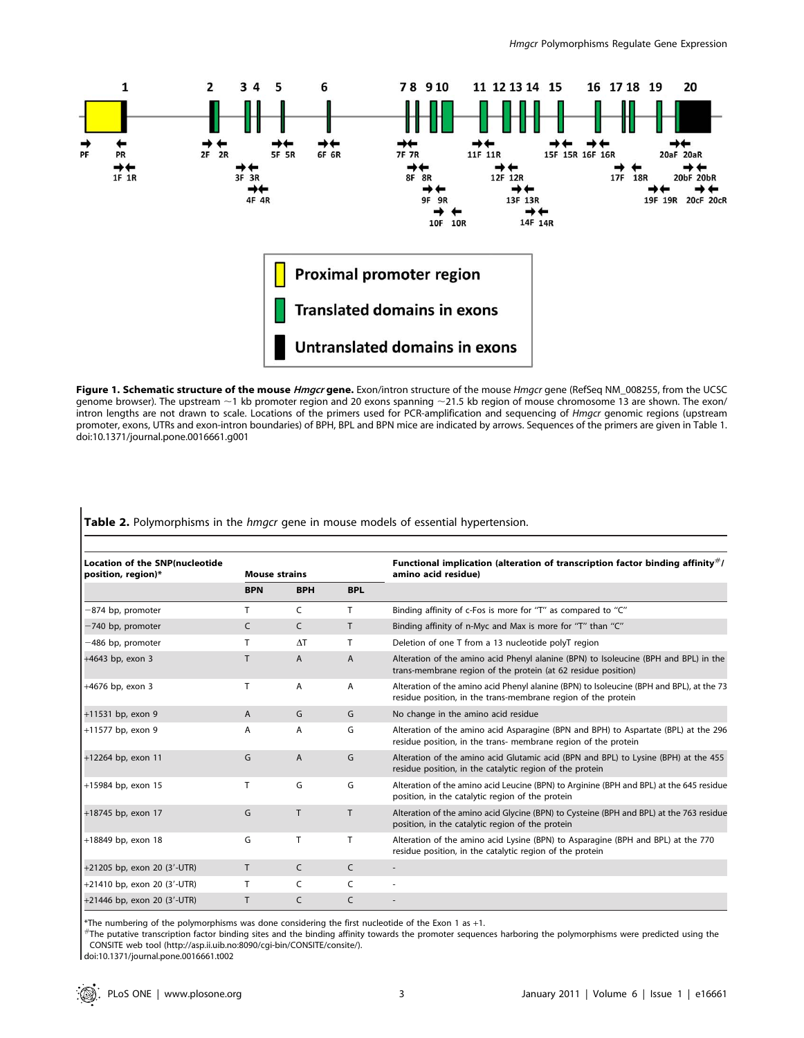

Figure 1. Schematic structure of the mouse Hmgcr gene. Exon/intron structure of the mouse Hmgcr gene (RefSeq NM\_008255, from the UCSC genome browser). The upstream  $\sim$ 1 kb promoter region and 20 exons spanning  $\sim$ 21.5 kb region of mouse chromosome 13 are shown. The exon/ intron lengths are not drawn to scale. Locations of the primers used for PCR-amplification and sequencing of Hmgcr genomic regions (upstream promoter, exons, UTRs and exon-intron boundaries) of BPH, BPL and BPN mice are indicated by arrows. Sequences of the primers are given in Table 1. doi:10.1371/journal.pone.0016661.g001

Table 2. Polymorphisms in the hmgcr gene in mouse models of essential hypertension.

| <b>Location of the SNP(nucleotide</b><br>position, region)* | <b>Mouse strains</b> |                |            | Functional implication (alteration of transcription factor binding affinity $#/$<br>amino acid residue)                                                   |
|-------------------------------------------------------------|----------------------|----------------|------------|-----------------------------------------------------------------------------------------------------------------------------------------------------------|
|                                                             | <b>BPN</b>           | <b>BPH</b>     | <b>BPL</b> |                                                                                                                                                           |
| -874 bp, promoter                                           | т                    | C              | T          | Binding affinity of c-Fos is more for "T" as compared to "C"                                                                                              |
| -740 bp, promoter                                           | C                    | C              | T          | Binding affinity of n-Myc and Max is more for "T" than "C"                                                                                                |
| -486 bp, promoter                                           |                      | $\Delta T$     | т          | Deletion of one T from a 13 nucleotide polyT region                                                                                                       |
| +4643 bp, exon 3                                            | T                    | $\overline{A}$ | A          | Alteration of the amino acid Phenyl alanine (BPN) to Isoleucine (BPH and BPL) in the<br>trans-membrane region of the protein (at 62 residue position)     |
| $+4676$ bp, exon 3                                          | т                    | A              | A          | Alteration of the amino acid Phenyl alanine (BPN) to Isoleucine (BPH and BPL), at the 73<br>residue position, in the trans-membrane region of the protein |
| +11531 bp, exon 9                                           | $\overline{A}$       | G              | G          | No change in the amino acid residue                                                                                                                       |
| +11577 bp, exon 9                                           | A                    | A              | G          | Alteration of the amino acid Asparagine (BPN and BPH) to Aspartate (BPL) at the 296<br>residue position, in the trans- membrane region of the protein     |
| +12264 bp, exon 11                                          | G                    | $\overline{A}$ | G          | Alteration of the amino acid Glutamic acid (BPN and BPL) to Lysine (BPH) at the 455<br>residue position, in the catalytic region of the protein           |
| +15984 bp, exon 15                                          | T                    | G              | G          | Alteration of the amino acid Leucine (BPN) to Arginine (BPH and BPL) at the 645 residue<br>position, in the catalytic region of the protein               |
| +18745 bp, exon 17                                          | G                    | T              | T          | Alteration of the amino acid Glycine (BPN) to Cysteine (BPH and BPL) at the 763 residue<br>position, in the catalytic region of the protein               |
| +18849 bp, exon 18                                          | G                    | T              | T          | Alteration of the amino acid Lysine (BPN) to Asparagine (BPH and BPL) at the 770<br>residue position, in the catalytic region of the protein              |
| +21205 bp, exon 20 (3'-UTR)                                 | T.                   | C              | C          | $\overline{\phantom{a}}$                                                                                                                                  |
| +21410 bp, exon 20 $(3'-UTR)$                               | T                    | $\mathsf{C}$   | C          |                                                                                                                                                           |
| +21446 bp, exon 20 (3'-UTR)                                 | T                    | C              | C          |                                                                                                                                                           |

\*The numbering of the polymorphisms was done considering the first nucleotide of the Exon 1 as +1.<br>#The putative transcription factor binding sites and the binding affinity towards the promoter sequences harboring the poly CONSITE web tool (http://asp.ii.uib.no:8090/cgi-bin/CONSITE/consite/).

doi:10.1371/journal.pone.0016661.t002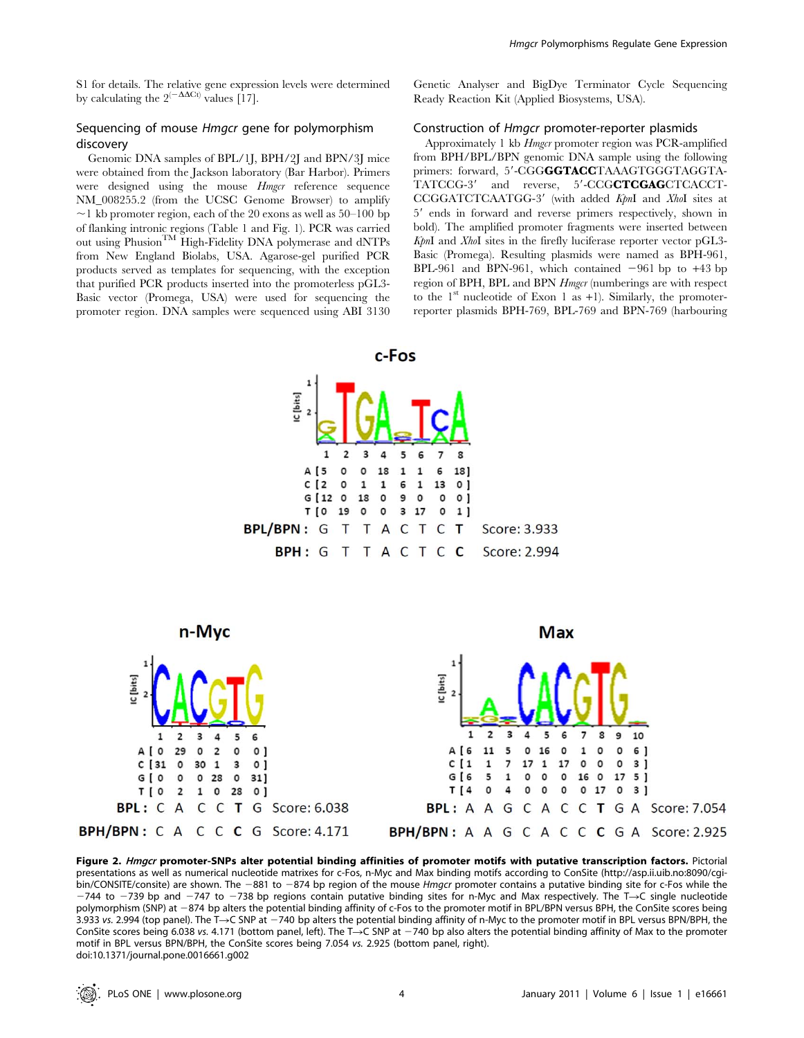# Sequencing of mouse Hmgcr gene for polymorphism discovery

# Genomic DNA samples of BPL/1J, BPH/2J and BPN/3J mice were obtained from the Jackson laboratory (Bar Harbor). Primers were designed using the mouse *Hmgcr* reference sequence NM\_008255.2 (from the UCSC Genome Browser) to amplify  $\sim$ 1 kb promoter region, each of the 20 exons as well as 50–100 bp of flanking intronic regions (Table 1 and Fig. 1). PCR was carried out using Phusion<sup>TM</sup> High-Fidelity DNA polymerase and dNTPs from New England Biolabs, USA. Agarose-gel purified PCR products served as templates for sequencing, with the exception that purified PCR products inserted into the promoterless pGL3- Basic vector (Promega, USA) were used for sequencing the promoter region. DNA samples were sequenced using ABI 3130

Genetic Analyser and BigDye Terminator Cycle Sequencing Ready Reaction Kit (Applied Biosystems, USA).

## Construction of Hmgcr promoter-reporter plasmids

Approximately 1 kb Hmgcr promoter region was PCR-amplified from BPH/BPL/BPN genomic DNA sample using the following primers: forward, 5'-CGGGGTACCTAAAGTGGGTAGGTA-TATCCG-3' and reverse, 5'-CCGCTCGAGCTCACCT-CCGGATCTCAATGG-3' (with added KpnI and XhoI sites at 5' ends in forward and reverse primers respectively, shown in bold). The amplified promoter fragments were inserted between KpnI and XhoI sites in the firefly luciferase reporter vector pGL3- Basic (Promega). Resulting plasmids were named as BPH-961, BPL-961 and BPN-961, which contained  $-961$  bp to  $+43$  bp region of BPH, BPL and BPN *Hmgcr* (numberings are with respect to the  $1<sup>st</sup>$  nucleotide of Exon 1 as  $+1$ ). Similarly, the promoterreporter plasmids BPH-769, BPL-769 and BPN-769 (harbouring





**Max** n-Myc  $\overline{\mathbf{3}}$  $\mathbf{R}$  $\overline{2}$ 3 4 5  $\overline{2}$  $\Delta$ 5 ĥ  $\overline{7}$ 9 10 6 0  $\pmb{\mathsf{o}}$ A [ 0 29  $\mathsf{o}$  $\overline{2}$  $\pmb{\mathsf{o}}$  $0<sub>1</sub>$ A [6 11 5 16 1  $\circ$  $\mathbf 0$ 6 ]  $C[1]$  $\overline{7}$ 17  ${\bf 1}$ 17  $\mathsf{o}$ 0 0  $3<sub>1</sub>$  $C[31]$  $\circ$ 30  $\mathbf{1}$ 3  $0<sub>1</sub>$  $\mathbf{1}$ G[O 0 28  $\mathsf{o}$ G [ 6 5  $\mathbf{1}$ 0 0 0 16  $\circ$ 17 5] 0 31]  $T[4]$ 0 4  $\mathsf{o}$ 0  $\mathsf{o}$  $\circ$ 17  $\mathsf{o}$  $3<sub>1</sub>$ T [ 0  $\overline{\mathbf{c}}$  $\mathbf 1$  $\circ$ 28  $^{\circ}$  $\mathsf{C}$  $\mathbf{T}$ A C BPL: C A  $\mathsf{C}$ G Score: 6.038  $\mathsf{C}$ C T G A Score: 7.054 BPL: A A G **BPH/BPN:**  $C$  A  $C$   $C$   $C$   $G$  Score: 4.171 **BPH/BPN:** A A G C A C C C G A Score: 2.925

Figure 2. Hmgcr promoter-SNPs alter potential binding affinities of promoter motifs with putative transcription factors. Pictorial presentations as well as numerical nucleotide matrixes for c-Fos, n-Myc and Max binding motifs according to ConSite (http://asp.ii.uib.no:8090/cgibin/CONSITE/consite) are shown. The -881 to -874 bp region of the mouse Hmgcr promoter contains a putative binding site for c-Fos while the  $-744$  to  $-739$  bp and  $-747$  to  $-738$  bp regions contain putative binding sites for n-Myc and Max respectively. The T $\rightarrow$ C single nucleotide polymorphism (SNP) at -874 bp alters the potential binding affinity of c-Fos to the promoter motif in BPL/BPN versus BPH, the ConSite scores being 3.933 vs. 2.994 (top panel). The T $\rightarrow$ C SNP at  $-740$  bp alters the potential binding affinity of n-Myc to the promoter motif in BPL versus BPN/BPH, the ConSite scores being 6.038 vs. 4.171 (bottom panel, left). The T $\rightarrow$ C SNP at  $-740$  bp also alters the potential binding affinity of Max to the promoter motif in BPL versus BPN/BPH, the ConSite scores being 7.054 vs. 2.925 (bottom panel, right). doi:10.1371/journal.pone.0016661.g002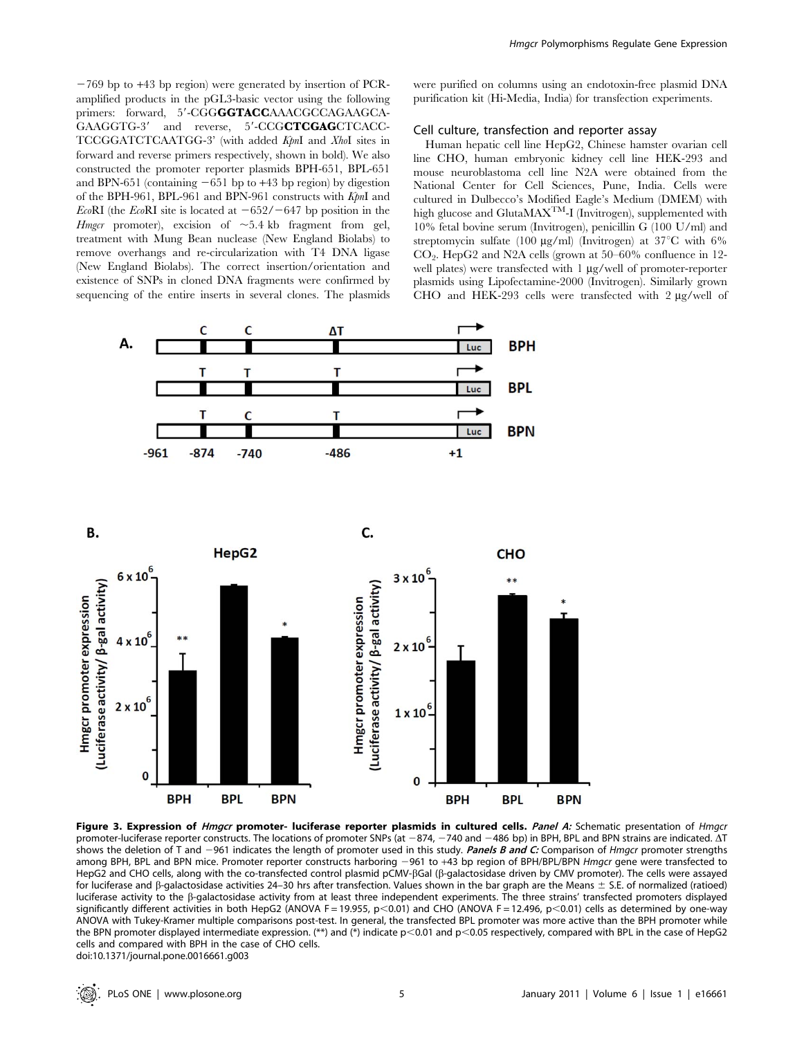$-769$  bp to  $+43$  bp region) were generated by insertion of PCRamplified products in the pGL3-basic vector using the following primers: forward, 5'-CGGGGTACCAAACGCCAGAAGCA-GAAGGTG-3' and reverse, 5'-CCGCTCGAGCTCACC-TCCGGATCTCAATGG-3' (with added KpnI and XhoI sites in forward and reverse primers respectively, shown in bold). We also constructed the promoter reporter plasmids BPH-651, BPL-651 and BPN-651 (containing  $-651$  bp to  $+43$  bp region) by digestion of the BPH-961, BPL-961 and BPN-961 constructs with KpnI and EcoRI (the EcoRI site is located at  $-652/-647$  bp position in the *Hmgcr* promoter), excision of  $\sim 5.4$  kb fragment from gel, treatment with Mung Bean nuclease (New England Biolabs) to remove overhangs and re-circularization with T4 DNA ligase (New England Biolabs). The correct insertion/orientation and existence of SNPs in cloned DNA fragments were confirmed by sequencing of the entire inserts in several clones. The plasmids were purified on columns using an endotoxin-free plasmid DNA purification kit (Hi-Media, India) for transfection experiments.

#### Cell culture, transfection and reporter assay

Human hepatic cell line HepG2, Chinese hamster ovarian cell line CHO, human embryonic kidney cell line HEK-293 and mouse neuroblastoma cell line N2A were obtained from the National Center for Cell Sciences, Pune, India. Cells were cultured in Dulbecco's Modified Eagle's Medium (DMEM) with high glucose and GlutaMAX<sup>TM</sup>-I (Invitrogen), supplemented with 10% fetal bovine serum (Invitrogen), penicillin G (100 U/ml) and streptomycin sulfate (100  $\mu$ g/ml) (Invitrogen) at 37°C with 6%  $CO<sub>2</sub>$ . HepG2 and N2A cells (grown at 50–60% confluence in 12well plates) were transfected with  $1 \mu g$ /well of promoter-reporter plasmids using Lipofectamine-2000 (Invitrogen). Similarly grown CHO and  $\overline{\text{HEK-293}}$  cells were transfected with 2  $\mu$ g/well of



Figure 3. Expression of *Hmgcr* promoter- luciferase reporter plasmids in cultured cells. Panel A: Schematic presentation of Hmgcr promoter-luciferase reporter constructs. The locations of promoter SNPs (at  $-874$ ,  $-740$  and  $-486$  bp) in BPH, BPL and BPN strains are indicated.  $\Delta T$ shows the deletion of T and -961 indicates the length of promoter used in this study. Panels B and C: Comparison of Hmgcr promoter strengths among BPH, BPL and BPN mice. Promoter reporter constructs harboring -961 to +43 bp region of BPH/BPL/BPN Hmgcr gene were transfected to HepG2 and CHO cells, along with the co-transfected control plasmid pCMV-ßGal (ß-galactosidase driven by CMV promoter). The cells were assayed for luciferase and  $\beta$ -galactosidase activities 24–30 hrs after transfection. Values shown in the bar graph are the Means  $\pm$  S.E. of normalized (ratioed) luciferase activity to the b-galactosidase activity from at least three independent experiments. The three strains' transfected promoters displayed significantly different activities in both HepG2 (ANOVA F = 19.955, p<0.01) and CHO (ANOVA F = 12.496, p<0.01) cells as determined by one-way ANOVA with Tukey-Kramer multiple comparisons post-test. In general, the transfected BPL promoter was more active than the BPH promoter while the BPN promoter displayed intermediate expression. (\*\*) and (\*) indicate  $p$ <0.01 and  $p$ <0.05 respectively, compared with BPL in the case of HepG2 cells and compared with BPH in the case of CHO cells. doi:10.1371/journal.pone.0016661.g003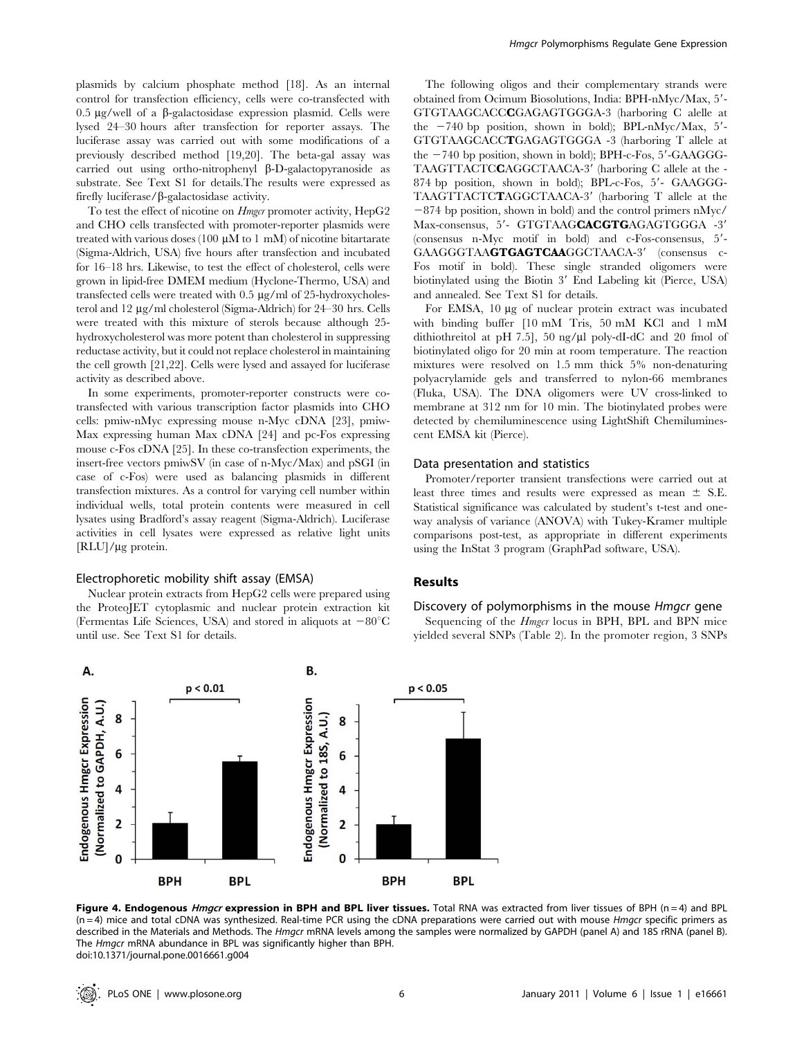plasmids by calcium phosphate method [18]. As an internal control for transfection efficiency, cells were co-transfected with 0.5  $\mu$ g/well of a  $\beta$ -galactosidase expression plasmid. Cells were lysed 24–30 hours after transfection for reporter assays. The luciferase assay was carried out with some modifications of a previously described method [19,20]. The beta-gal assay was carried out using ortho-nitrophenyl  $\beta$ -D-galactopyranoside as substrate. See Text S1 for details.The results were expressed as firefly luciferase/ $\beta$ -galactosidase activity.

To test the effect of nicotine on *Hmgcr* promoter activity, HepG2 and CHO cells transfected with promoter-reporter plasmids were treated with various doses  $(100 \mu M)$  to 1 mM of nicotine bitartarate (Sigma-Aldrich, USA) five hours after transfection and incubated for 16–18 hrs. Likewise, to test the effect of cholesterol, cells were grown in lipid-free DMEM medium (Hyclone-Thermo, USA) and transfected cells were treated with  $0.5 \mu g/ml$  of 25-hydroxycholesterol and 12 mg/ml cholesterol (Sigma-Aldrich) for 24–30 hrs. Cells were treated with this mixture of sterols because although 25 hydroxycholesterol was more potent than cholesterol in suppressing reductase activity, but it could not replace cholesterol in maintaining the cell growth [21,22]. Cells were lysed and assayed for luciferase activity as described above.

In some experiments, promoter-reporter constructs were cotransfected with various transcription factor plasmids into CHO cells: pmiw-nMyc expressing mouse n-Myc cDNA [23], pmiw-Max expressing human Max cDNA [24] and pc-Fos expressing mouse c-Fos cDNA [25]. In these co-transfection experiments, the insert-free vectors pmiwSV (in case of n-Myc/Max) and pSGI (in case of c-Fos) were used as balancing plasmids in different transfection mixtures. As a control for varying cell number within individual wells, total protein contents were measured in cell lysates using Bradford's assay reagent (Sigma-Aldrich). Luciferase activities in cell lysates were expressed as relative light units  $[RLU]/\mu$ g protein.

## Electrophoretic mobility shift assay (EMSA)

Nuclear protein extracts from HepG2 cells were prepared using the ProteoJET cytoplasmic and nuclear protein extraction kit (Fermentas Life Sciences, USA) and stored in aliquots at  $-80^{\circ}$ C until use. See Text S1 for details.

The following oligos and their complementary strands were obtained from Ocimum Biosolutions, India: BPH-nMyc/Max, 5'-GTGTAAGCACCCGAGAGTGGGA-3 (harboring C alelle at the  $-740$  bp position, shown in bold); BPL-nMyc/Max,  $5'$ -GTGTAAGCACCTGAGAGTGGGA -3 (harboring T allele at the  $-740$  bp position, shown in bold); BPH-c-Fos,  $5'$ -GAAGGG-TAAGTTACTCCAGGCTAACA-3' (harboring C allele at the - $874$  bp position, shown in bold); BPL-c-Fos,  $5'$ - GAAGGG-TAAGTTACTCTAGGCTAACA-3' (harboring T allele at the  $-874$  bp position, shown in bold) and the control primers nMyc/ Max-consensus, 5'- GTGTAAGCACGTGAGAGTGGGA -3'  $(consensus$  n-Myc motif in bold) and c-Fos-consensus,  $5'$ -GAAGGGTAAGTGAGTCAAGGCTAACA-3' (consensus c-Fos motif in bold). These single stranded oligomers were biotinylated using the Biotin 3' End Labeling kit (Pierce, USA) and annealed. See Text S1 for details.

For EMSA, 10 µg of nuclear protein extract was incubated with binding buffer [10 mM Tris, 50 mM KCl and 1 mM dithiothreitol at pH 7.5], 50 ng/ $\mu$ l poly-dI-dC and 20 fmol of biotinylated oligo for 20 min at room temperature. The reaction mixtures were resolved on 1.5 mm thick 5% non-denaturing polyacrylamide gels and transferred to nylon-66 membranes (Fluka, USA). The DNA oligomers were UV cross-linked to membrane at 312 nm for 10 min. The biotinylated probes were detected by chemiluminescence using LightShift Chemiluminescent EMSA kit (Pierce).

# Data presentation and statistics

Promoter/reporter transient transfections were carried out at least three times and results were expressed as mean  $\pm$  S.E. Statistical significance was calculated by student's t-test and oneway analysis of variance (ANOVA) with Tukey-Kramer multiple comparisons post-test, as appropriate in different experiments using the InStat 3 program (GraphPad software, USA).

# Results

# Discovery of polymorphisms in the mouse Hmgcr gene

Sequencing of the Hmgcr locus in BPH, BPL and BPN mice yielded several SNPs (Table 2). In the promoter region, 3 SNPs



Figure 4. Endogenous *Hmgcr* expression in BPH and BPL liver tissues. Total RNA was extracted from liver tissues of BPH (n = 4) and BPL  $(n=4)$  mice and total cDNA was synthesized. Real-time PCR using the cDNA preparations were carried out with mouse *Hmgcr* specific primers as described in the Materials and Methods. The Hmgcr mRNA levels among the samples were normalized by GAPDH (panel A) and 18S rRNA (panel B). The Hmgcr mRNA abundance in BPL was significantly higher than BPH. doi:10.1371/journal.pone.0016661.g004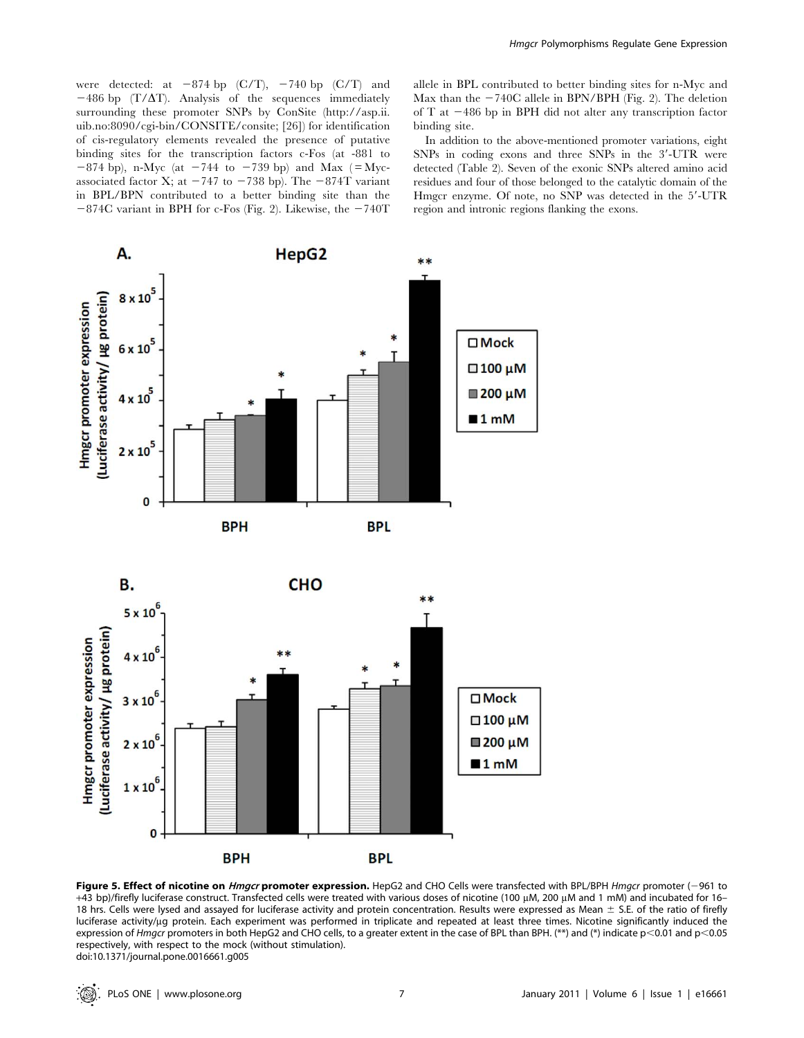were detected: at  $-874$  bp (C/T),  $-740$  bp (C/T) and  $-486$  bp (T/ $\Delta$ T). Analysis of the sequences immediately surrounding these promoter SNPs by ConSite (http://asp.ii. uib.no:8090/cgi-bin/CONSITE/consite; [26]) for identification of cis-regulatory elements revealed the presence of putative binding sites for the transcription factors c-Fos (at -881 to  $-874$  bp), n-Myc (at  $-744$  to  $-739$  bp) and Max ( $=Myc$ associated factor X; at  $-747$  to  $-738$  bp). The  $-874T$  variant in BPL/BPN contributed to a better binding site than the  $-874C$  variant in BPH for c-Fos (Fig. 2). Likewise, the  $-740T$ 

allele in BPL contributed to better binding sites for n-Myc and Max than the  $-740C$  allele in BPN/BPH (Fig. 2). The deletion of T at  $-486$  bp in BPH did not alter any transcription factor binding site.

In addition to the above-mentioned promoter variations, eight SNPs in coding exons and three SNPs in the 3'-UTR were detected (Table 2). Seven of the exonic SNPs altered amino acid residues and four of those belonged to the catalytic domain of the Hmgcr enzyme. Of note, no SNP was detected in the 5'-UTR region and intronic regions flanking the exons.



Figure 5. Effect of nicotine on *Hmgcr* promoter expression. HepG2 and CHO Cells were transfected with BPL/BPH *Hmgcr* promoter (-961 to +43 bp)/firefly luciferase construct. Transfected cells were treated with various doses of nicotine (100 µM, 200 µM and 1 mM) and incubated for 16-18 hrs. Cells were lysed and assayed for luciferase activity and protein concentration. Results were expressed as Mean  $\pm$  S.E. of the ratio of firefly luciferase activity/µg protein. Each experiment was performed in triplicate and repeated at least three times. Nicotine significantly induced the expression of Hmgcr promoters in both HepG2 and CHO cells, to a greater extent in the case of BPL than BPH. (\*\*) and (\*) indicate p<0.01 and p<0.05 respectively, with respect to the mock (without stimulation). doi:10.1371/journal.pone.0016661.g005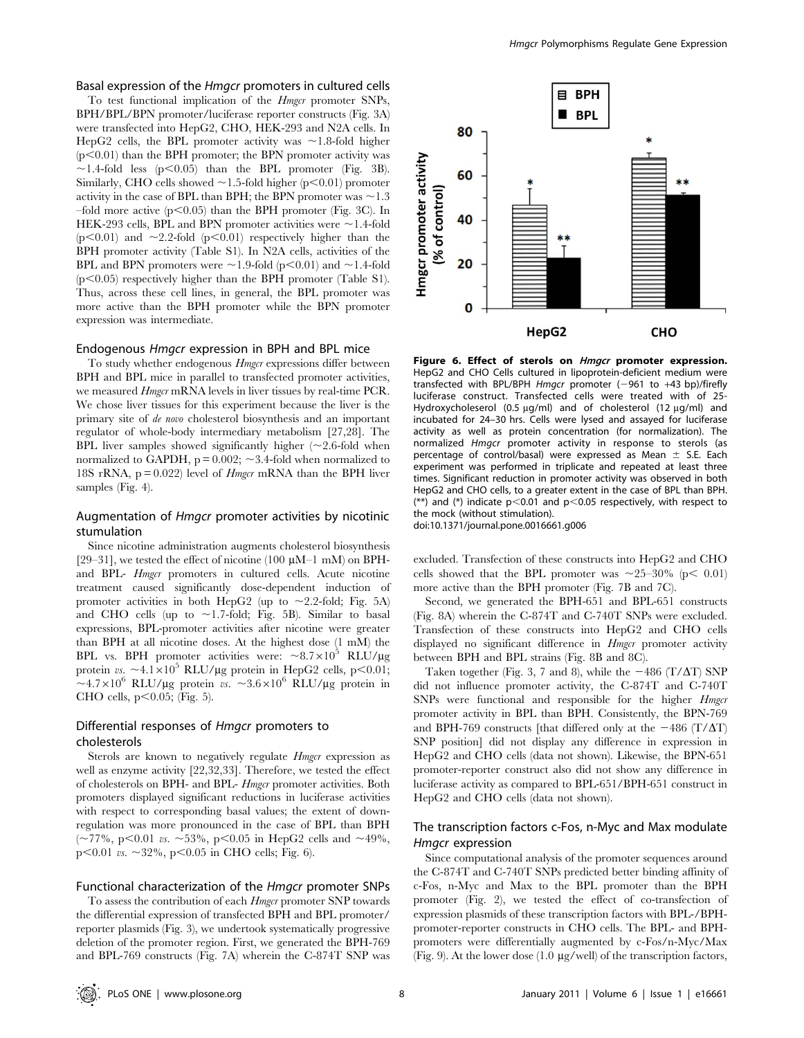#### Basal expression of the Hmgcr promoters in cultured cells

To test functional implication of the *Hmgcr* promoter SNPs, BPH/BPL/BPN promoter/luciferase reporter constructs (Fig. 3A) were transfected into HepG2, CHO, HEK-293 and N2A cells. In HepG2 cells, the BPL promoter activity was  $\sim$ 1.8-fold higher  $(p<0.01)$  than the BPH promoter; the BPN promoter activity was  $\sim$ 1.4-fold less (p $\leq$ 0.05) than the BPL promoter (Fig. 3B). Similarly, CHO cells showed  $\sim$  1.5-fold higher (p $\leq$ 0.01) promoter activity in the case of BPL than BPH; the BPN promoter was  $\sim$  1.3 –fold more active  $(p<0.05)$  than the BPH promoter (Fig. 3C). In HEK-293 cells, BPL and BPN promoter activities were  $\sim$  1.4-fold  $(p<0.01)$  and  $\sim$ 2.2-fold  $(p<0.01)$  respectively higher than the BPH promoter activity (Table S1). In N2A cells, activities of the BPL and BPN promoters were  $\sim$  1.9-fold (p $\lt$ 0.01) and  $\sim$  1.4-fold  $(p<0.05)$  respectively higher than the BPH promoter (Table S1). Thus, across these cell lines, in general, the BPL promoter was more active than the BPH promoter while the BPN promoter expression was intermediate.

## Endogenous Hmgcr expression in BPH and BPL mice

To study whether endogenous *Hmgcr* expressions differ between BPH and BPL mice in parallel to transfected promoter activities, we measured *Hmgcr* mRNA levels in liver tissues by real-time PCR. We chose liver tissues for this experiment because the liver is the primary site of de novo cholesterol biosynthesis and an important regulator of whole-body intermediary metabolism [27,28]. The BPL liver samples showed significantly higher  $(\sim 2.6\text{-}6$ ld when normalized to GAPDH,  $p = 0.002$ ;  $\sim 3.4$ -fold when normalized to 18S rRNA,  $p = 0.022$ ) level of *Hmgcr* mRNA than the BPH liver samples (Fig. 4).

# Augmentation of Hmgcr promoter activities by nicotinic stumulation

Since nicotine administration augments cholesterol biosynthesis [29–31], we tested the effect of nicotine (100  $\mu$ M–1 mM) on BPHand BPL- Hmgcr promoters in cultured cells. Acute nicotine treatment caused significantly dose-dependent induction of promoter activities in both HepG2 (up to  $\sim$ 2.2-fold; Fig. 5A) and CHO cells (up to  $\sim$  1.7-fold; Fig. 5B). Similar to basal expressions, BPL-promoter activities after nicotine were greater than BPH at all nicotine doses. At the highest dose (1 mM) the BPL vs. BPH promoter activities were:  $\sim 8.7 \times 10^5$  RLU/ $\mu$ g protein vs.  $\sim$ 4.1×10<sup>5</sup> RLU/µg protein in HepG2 cells, p<0.01;  $\sim$ 4.7×10<sup>6</sup> RLU/µg protein vs.  $\sim$ 3.6×10<sup>6</sup> RLU/µg protein in CHO cells,  $p<0.05$ ; (Fig. 5).

# Differential responses of Hmgcr promoters to cholesterols

Sterols are known to negatively regulate *Hmgcr* expression as well as enzyme activity [22,32,33]. Therefore, we tested the effect of cholesterols on BPH- and BPL- Hmgcr promoter activities. Both promoters displayed significant reductions in luciferase activities with respect to corresponding basal values; the extent of downregulation was more pronounced in the case of BPL than BPH  $(-77\%, p<0.01 \text{ vs. } -53\%, p<0.05 \text{ in HepG2 cells and } -49\%,$ p $<0.01$  vs.  $\sim$ 32%, p $<0.05$  in CHO cells; Fig. 6).

## Functional characterization of the Hmgcr promoter SNPs

To assess the contribution of each *Hmgcr* promoter SNP towards the differential expression of transfected BPH and BPL promoter/ reporter plasmids (Fig. 3), we undertook systematically progressive deletion of the promoter region. First, we generated the BPH-769 and BPL-769 constructs (Fig. 7A) wherein the C-874T SNP was



Figure 6. Effect of sterols on *Hmgcr* promoter expression. HepG2 and CHO Cells cultured in lipoprotein-deficient medium were transfected with BPL/BPH Hmgcr promoter  $(-961$  to  $+43$  bp)/firefly luciferase construct. Transfected cells were treated with of 25- Hydroxycholeserol (0.5  $\mu$ g/ml) and of cholesterol (12  $\mu$ g/ml) and incubated for 24–30 hrs. Cells were lysed and assayed for luciferase activity as well as protein concentration (for normalization). The normalized Hmgcr promoter activity in response to sterols (as percentage of control/basal) were expressed as Mean  $\pm$  S.E. Each experiment was performed in triplicate and repeated at least three times. Significant reduction in promoter activity was observed in both HepG2 and CHO cells, to a greater extent in the case of BPL than BPH. (\*\*) and (\*) indicate  $p<0.01$  and  $p<0.05$  respectively, with respect to the mock (without stimulation).

doi:10.1371/journal.pone.0016661.g006

excluded. Transfection of these constructs into HepG2 and CHO cells showed that the BPL promoter was  $\sim$ 25–30% (p $<$  0.01) more active than the BPH promoter (Fig. 7B and 7C).

Second, we generated the BPH-651 and BPL-651 constructs (Fig. 8A) wherein the C-874T and C-740T SNPs were excluded. Transfection of these constructs into HepG2 and CHO cells displayed no significant difference in *Hmgcr* promoter activity between BPH and BPL strains (Fig. 8B and 8C).

Taken together (Fig. 3, 7 and 8), while the  $-486$  (T/ $\Delta$ T) SNP did not influence promoter activity, the C-874T and C-740T SNPs were functional and responsible for the higher *Hmgcr* promoter activity in BPL than BPH. Consistently, the BPN-769 and BPH-769 constructs [that differed only at the  $-486$  (T/ $\Delta$ T) SNP position] did not display any difference in expression in HepG2 and CHO cells (data not shown). Likewise, the BPN-651 promoter-reporter construct also did not show any difference in luciferase activity as compared to BPL-651/BPH-651 construct in HepG2 and CHO cells (data not shown).

# The transcription factors c-Fos, n-Myc and Max modulate Hmgcr expression

Since computational analysis of the promoter sequences around the C-874T and C-740T SNPs predicted better binding affinity of c-Fos, n-Myc and Max to the BPL promoter than the BPH promoter (Fig. 2), we tested the effect of co-transfection of expression plasmids of these transcription factors with BPL-/BPHpromoter-reporter constructs in CHO cells. The BPL- and BPHpromoters were differentially augmented by c-Fos/n-Myc/Max (Fig. 9). At the lower dose  $(1.0 \mu g/well)$  of the transcription factors,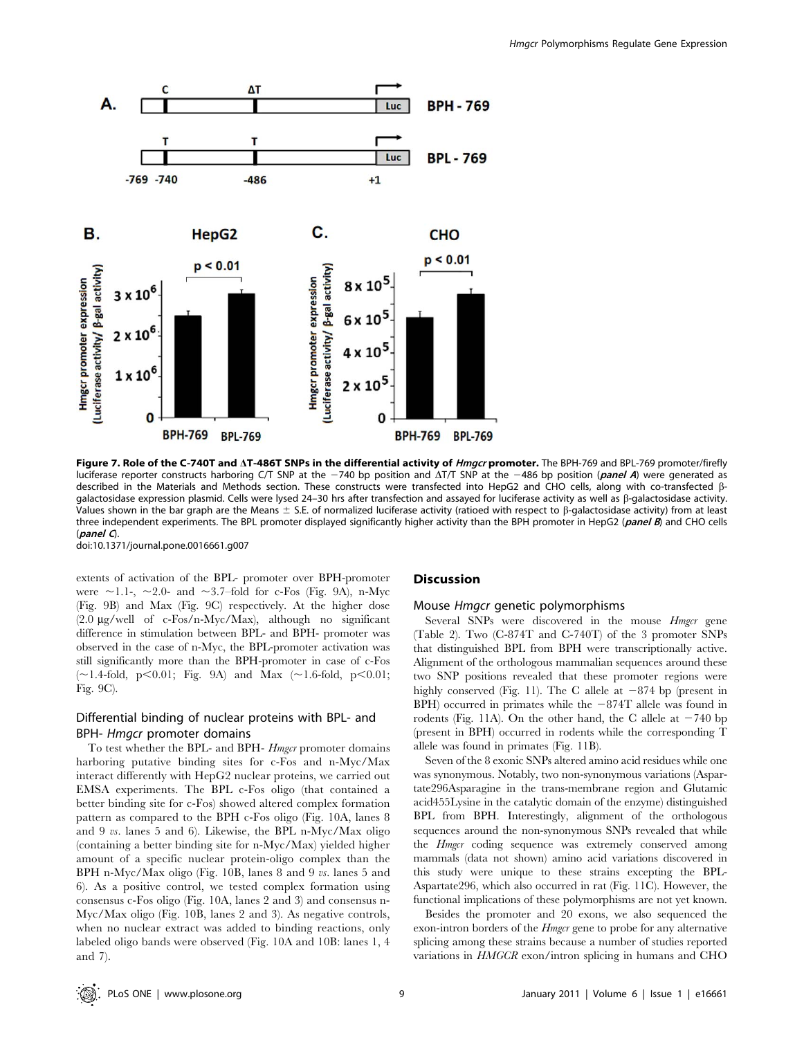

Figure 7. Role of the C-740T and AT-486T SNPs in the differential activity of *Hmgcr* promoter. The BPH-769 and BPL-769 promoter/firefly luciferase reporter constructs harboring C/T SNP at the  $-740$  bp position and  $\Delta T/T$  SNP at the  $-486$  bp position (*panel A*) were generated as described in the Materials and Methods section. These constructs were transfected into HepG2 and CHO cells, along with co-transfected bgalactosidase expression plasmid. Cells were lysed 24–30 hrs after transfection and assayed for luciferase activity as well as b-galactosidase activity. Values shown in the bar graph are the Means  $\pm$  S.E. of normalized luciferase activity (ratioed with respect to  $\beta$ -galactosidase activity) from at least three independent experiments. The BPL promoter displayed significantly higher activity than the BPH promoter in HepG2 (panel B) and CHO cells  $\Omega$ 

doi:10.1371/journal.pone.0016661.g007

extents of activation of the BPL- promoter over BPH-promoter were  $\sim$ 1.1-,  $\sim$ 2.0- and  $\sim$ 3.7–fold for c-Fos (Fig. 9A), n-Myc (Fig. 9B) and Max (Fig. 9C) respectively. At the higher dose  $(2.0 \mu g/well$  of c-Fos/n-Myc/Max), although no significant difference in stimulation between BPL- and BPH- promoter was observed in the case of n-Myc, the BPL-promoter activation was still significantly more than the BPH-promoter in case of c-Fos  $(\sim1.4\text{-fold}, \, p<0.01; \, \text{Fig. 9A})$  and Max  $(\sim1.6\text{-fold}, \, p<0.01; \, p<0.01)$ Fig. 9C).

# Differential binding of nuclear proteins with BPL- and BPH- Hmgcr promoter domains

To test whether the BPL- and BPH- Hmgcr promoter domains harboring putative binding sites for c-Fos and n-Myc/Max interact differently with HepG2 nuclear proteins, we carried out EMSA experiments. The BPL c-Fos oligo (that contained a better binding site for c-Fos) showed altered complex formation pattern as compared to the BPH c-Fos oligo (Fig. 10A, lanes 8 and 9 vs. lanes 5 and 6). Likewise, the BPL n-Myc/Max oligo (containing a better binding site for n-Myc/Max) yielded higher amount of a specific nuclear protein-oligo complex than the BPH n-Myc/Max oligo (Fig. 10B, lanes 8 and 9 vs. lanes 5 and 6). As a positive control, we tested complex formation using consensus c-Fos oligo (Fig. 10A, lanes 2 and 3) and consensus n-Myc/Max oligo (Fig. 10B, lanes 2 and 3). As negative controls, when no nuclear extract was added to binding reactions, only labeled oligo bands were observed (Fig. 10A and 10B: lanes 1, 4 and 7).

## **Discussion**

#### Mouse Hmgcr genetic polymorphisms

Several SNPs were discovered in the mouse *Hmgcr* gene (Table 2). Two (C-874T and C-740T) of the 3 promoter SNPs that distinguished BPL from BPH were transcriptionally active. Alignment of the orthologous mammalian sequences around these two SNP positions revealed that these promoter regions were highly conserved (Fig. 11). The C allele at  $-874$  bp (present in BPH) occurred in primates while the  $-874T$  allele was found in rodents (Fig. 11A). On the other hand, the C allele at  $-740$  bp (present in BPH) occurred in rodents while the corresponding T allele was found in primates (Fig. 11B).

Seven of the 8 exonic SNPs altered amino acid residues while one was synonymous. Notably, two non-synonymous variations (Aspartate296Asparagine in the trans-membrane region and Glutamic acid455Lysine in the catalytic domain of the enzyme) distinguished BPL from BPH. Interestingly, alignment of the orthologous sequences around the non-synonymous SNPs revealed that while the *Hmgcr* coding sequence was extremely conserved among mammals (data not shown) amino acid variations discovered in this study were unique to these strains excepting the BPL-Aspartate296, which also occurred in rat (Fig. 11C). However, the functional implications of these polymorphisms are not yet known.

Besides the promoter and 20 exons, we also sequenced the exon-intron borders of the *Hmgcr* gene to probe for any alternative splicing among these strains because a number of studies reported variations in HMGCR exon/intron splicing in humans and CHO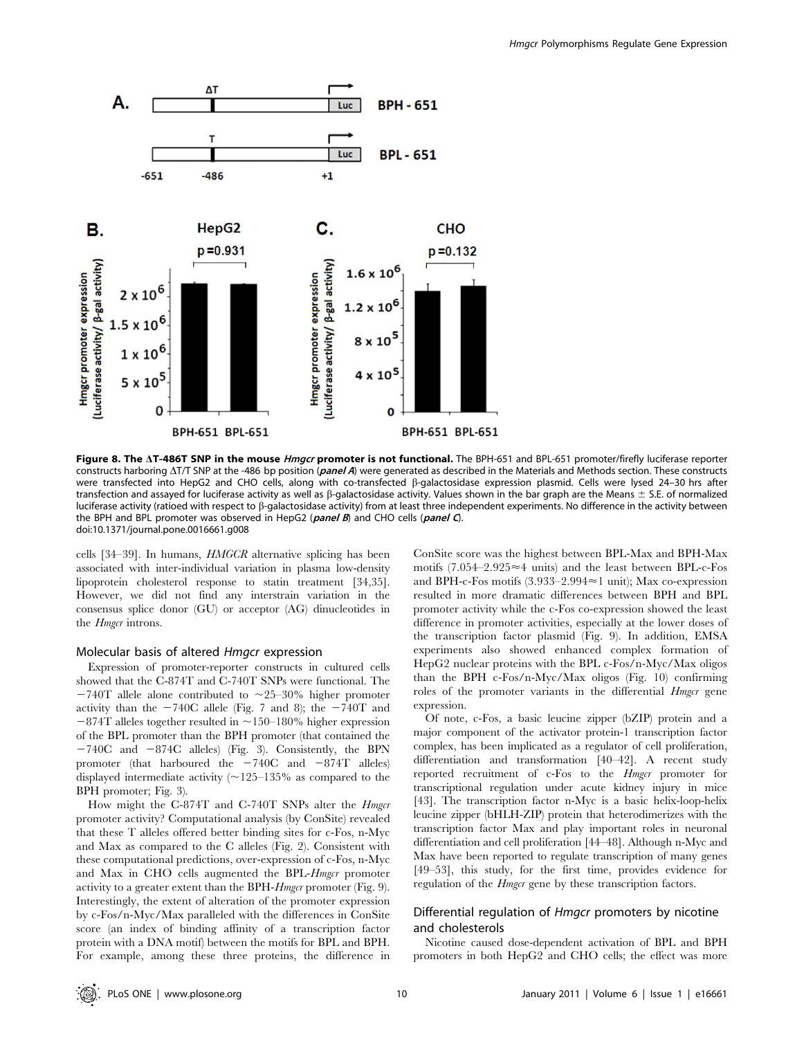

Figure 8. The AT-486T SNP in the mouse *Hmgcr* promoter is not functional. The BPH-651 and BPL-651 promoter/firefly luciferase reporter constructs harboring  $\Delta T/T$  SNP at the -486 bp position (*panel A*) were generated as described in the Materials and Methods section. These constructs were transfected into HepG2 and CHO cells, along with co-transfected ß-galactosidase expression plasmid. Cells were lysed 24-30 hrs after transfection and assayed for luciferase activity as well as  $\beta$ -galactosidase activity. Values shown in the bar graph are the Means  $\pm$  S.E. of normalized luciferase activity (ratioed with respect to b-galactosidase activity) from at least three independent experiments. No difference in the activity between the BPH and BPL promoter was observed in HepG2 ( $panel B$ ) and CHO cells ( $panel C$ ). doi:10.1371/journal.pone.0016661.g008

cells [34–39]. In humans, HMGCR alternative splicing has been associated with inter-individual variation in plasma low-density lipoprotein cholesterol response to statin treatment [34,35]. However, we did not find any interstrain variation in the consensus splice donor (GU) or acceptor (AG) dinucleotides in the *Hmgcr* introns.

#### Molecular basis of altered Hmgcr expression

Expression of promoter-reporter constructs in cultured cells showed that the C-874T and C-740T SNPs were functional. The  $-740$ T allele alone contributed to  $\sim$ 25–30% higher promoter activity than the  $-740C$  allele (Fig. 7 and 8); the  $-740T$  and  $-874$ T alleles together resulted in  $\sim$ 150–180% higher expression of the BPL promoter than the BPH promoter (that contained the  $-740C$  and  $-874C$  alleles) (Fig. 3). Consistently, the BPN promoter (that harboured the  $-740C$  and  $-874T$  alleles) displayed intermediate activity  $(\sim 125-135\%$  as compared to the BPH promoter; Fig. 3).

How might the C-874T and C-740T SNPs alter the *Hmgcr* promoter activity? Computational analysis (by ConSite) revealed that these T alleles offered better binding sites for c-Fos, n-Myc and Max as compared to the C alleles (Fig. 2). Consistent with these computational predictions, over-expression of c-Fos, n-Myc and Max in CHO cells augmented the BPL-Hmgcr promoter activity to a greater extent than the BPH-Hmgcr promoter (Fig. 9). Interestingly, the extent of alteration of the promoter expression by c-Fos/n-Myc/Max paralleled with the differences in ConSite score (an index of binding affinity of a transcription factor protein with a DNA motif) between the motifs for BPL and BPH. For example, among these three proteins, the difference in ConSite score was the highest between BPL-Max and BPH-Max motifs  $(7.054-2.925\approx4$  units) and the least between BPL-c-Fos and BPH-c-Fos motifs  $(3.933-2.994\approx1$  unit); Max co-expression resulted in more dramatic differences between BPH and BPL promoter activity while the c-Fos co-expression showed the least difference in promoter activities, especially at the lower doses of the transcription factor plasmid (Fig. 9). In addition, EMSA experiments also showed enhanced complex formation of HepG2 nuclear proteins with the BPL c-Fos/n-Myc/Max oligos than the BPH c-Fos/n-Myc/Max oligos (Fig. 10) confirming roles of the promoter variants in the differential *Hmgcr* gene expression.

Of note, c-Fos, a basic leucine zipper (bZIP) protein and a major component of the activator protein-1 transcription factor complex, has been implicated as a regulator of cell proliferation, differentiation and transformation [40–42]. A recent study reported recruitment of c-Fos to the Hmgcr promoter for transcriptional regulation under acute kidney injury in mice [43]. The transcription factor n-Myc is a basic helix-loop-helix leucine zipper (bHLH-ZIP) protein that heterodimerizes with the transcription factor Max and play important roles in neuronal differentiation and cell proliferation [44–48]. Although n-Myc and Max have been reported to regulate transcription of many genes [49–53], this study, for the first time, provides evidence for regulation of the *Hmgcr* gene by these transcription factors.

# Differential regulation of Hmgcr promoters by nicotine and cholesterols

Nicotine caused dose-dependent activation of BPL and BPH promoters in both HepG2 and CHO cells; the effect was more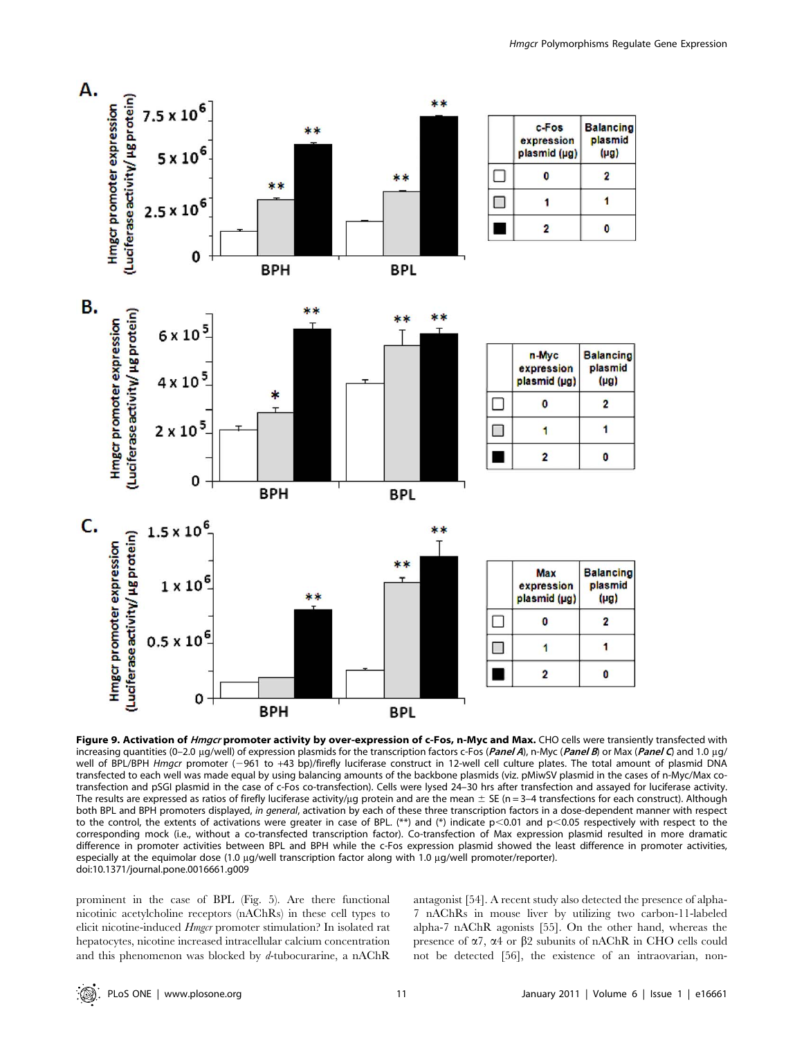



Figure 9. Activation of *Hmgcr* promoter activity by over-expression of c-Fos, n-Myc and Max. CHO cells were transiently transfected with increasing quantities (0–2.0 µg/well) of expression plasmids for the transcription factors c-Fos (Panel A), n-Myc (Panel B) or Max (Panel C) and 1.0 µg/ well of BPL/BPH Hmgcr promoter (-961 to +43 bp)/firefly luciferase construct in 12-well cell culture plates. The total amount of plasmid DNA transfected to each well was made equal by using balancing amounts of the backbone plasmids (viz. pMiwSV plasmid in the cases of n-Myc/Max cotransfection and pSGI plasmid in the case of c-Fos co-transfection). Cells were lysed 24–30 hrs after transfection and assayed for luciferase activity. The results are expressed as ratios of firefly luciferase activity/ $\mu$ g protein and are the mean  $\pm$  SE (n = 3–4 transfections for each construct). Although both BPL and BPH promoters displayed, in general, activation by each of these three transcription factors in a dose-dependent manner with respect to the control, the extents of activations were greater in case of BPL. (\*\*) and (\*) indicate  $p<0.01$  and  $p<0.05$  respectively with respect to the corresponding mock (i.e., without a co-transfected transcription factor). Co-transfection of Max expression plasmid resulted in more dramatic difference in promoter activities between BPL and BPH while the c-Fos expression plasmid showed the least difference in promoter activities, especially at the equimolar dose (1.0 µg/well transcription factor along with 1.0 µg/well promoter/reporter). doi:10.1371/journal.pone.0016661.g009

prominent in the case of BPL (Fig. 5). Are there functional nicotinic acetylcholine receptors (nAChRs) in these cell types to elicit nicotine-induced Hmgcr promoter stimulation? In isolated rat hepatocytes, nicotine increased intracellular calcium concentration and this phenomenon was blocked by d-tubocurarine, a nAChR antagonist [54]. A recent study also detected the presence of alpha-7 nAChRs in mouse liver by utilizing two carbon-11-labeled alpha-7 nAChR agonists [55]. On the other hand, whereas the presence of  $\alpha$ 7,  $\alpha$ 4 or  $\beta$ 2 subunits of nAChR in CHO cells could not be detected [56], the existence of an intraovarian, non-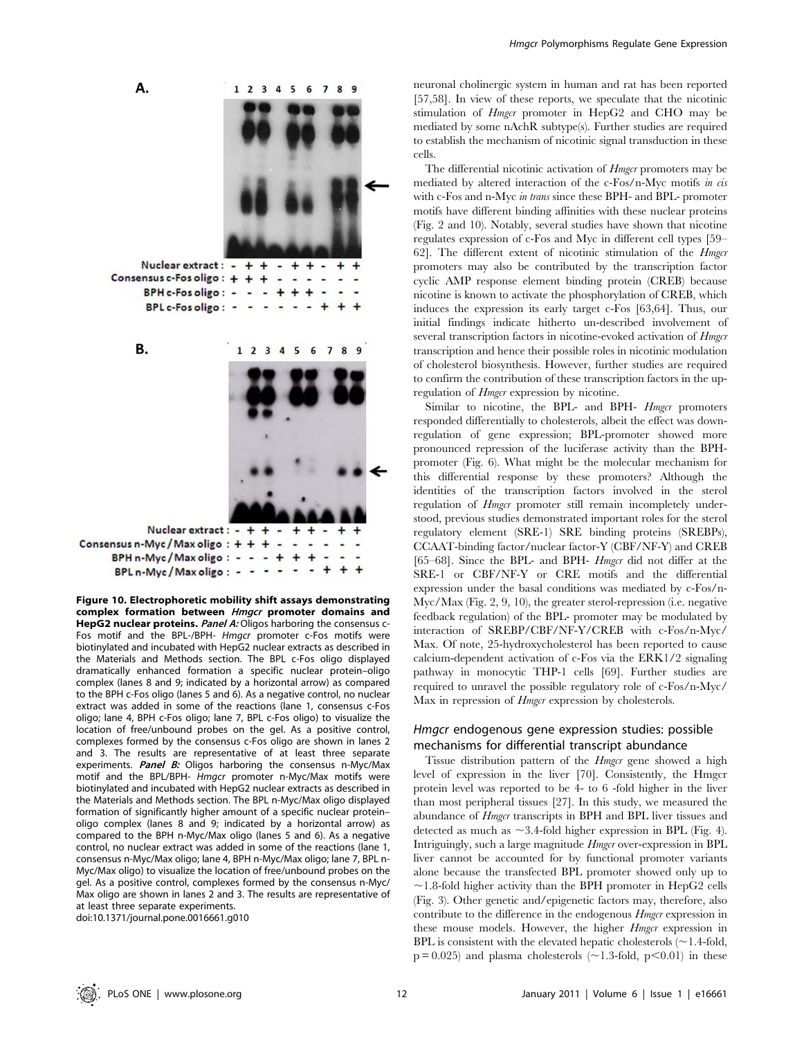

Figure 10. Electrophoretic mobility shift assays demonstrating complex formation between Hmgcr promoter domains and HepG2 nuclear proteins. Panel A: Oligos harboring the consensus c-Fos motif and the BPL-/BPH- Hmgcr promoter c-Fos motifs were biotinylated and incubated with HepG2 nuclear extracts as described in the Materials and Methods section. The BPL c-Fos oligo displayed dramatically enhanced formation a specific nuclear protein–oligo complex (lanes 8 and 9; indicated by a horizontal arrow) as compared to the BPH c-Fos oligo (lanes 5 and 6). As a negative control, no nuclear extract was added in some of the reactions (lane 1, consensus c-Fos oligo; lane 4, BPH c-Fos oligo; lane 7, BPL c-Fos oligo) to visualize the location of free/unbound probes on the gel. As a positive control, complexes formed by the consensus c-Fos oligo are shown in lanes 2 and 3. The results are representative of at least three separate experiments. Panel B: Oligos harboring the consensus n-Myc/Max motif and the BPL/BPH- Hmgcr promoter n-Myc/Max motifs were biotinylated and incubated with HepG2 nuclear extracts as described in the Materials and Methods section. The BPL n-Myc/Max oligo displayed formation of significantly higher amount of a specific nuclear protein– oligo complex (lanes 8 and 9; indicated by a horizontal arrow) as compared to the BPH n-Myc/Max oligo (lanes 5 and 6). As a negative control, no nuclear extract was added in some of the reactions (lane 1, consensus n-Myc/Max oligo; lane 4, BPH n-Myc/Max oligo; lane 7, BPL n-Myc/Max oligo) to visualize the location of free/unbound probes on the gel. As a positive control, complexes formed by the consensus n-Myc/ Max oligo are shown in lanes 2 and 3. The results are representative of at least three separate experiments. doi:10.1371/journal.pone.0016661.g010

neuronal cholinergic system in human and rat has been reported [57,58]. In view of these reports, we speculate that the nicotinic stimulation of Hmgcr promoter in HepG2 and CHO may be mediated by some nAchR subtype(s). Further studies are required to establish the mechanism of nicotinic signal transduction in these cells.

The differential nicotinic activation of *Hmgcr* promoters may be mediated by altered interaction of the c-Fos/n-Myc motifs in cis with c-Fos and n-Myc in trans since these BPH- and BPL- promoter motifs have different binding affinities with these nuclear proteins (Fig. 2 and 10). Notably, several studies have shown that nicotine regulates expression of c-Fos and Myc in different cell types [59– 62]. The different extent of nicotinic stimulation of the *Hmgcr* promoters may also be contributed by the transcription factor cyclic AMP response element binding protein (CREB) because nicotine is known to activate the phosphorylation of CREB, which induces the expression its early target c-Fos [63,64]. Thus, our initial findings indicate hitherto un-described involvement of several transcription factors in nicotine-evoked activation of *Hmgcr* transcription and hence their possible roles in nicotinic modulation of cholesterol biosynthesis. However, further studies are required to confirm the contribution of these transcription factors in the upregulation of *Hmgcr* expression by nicotine.

Similar to nicotine, the BPL- and BPH- *Hmgcr* promoters responded differentially to cholesterols, albeit the effect was downregulation of gene expression; BPL-promoter showed more pronounced repression of the luciferase activity than the BPHpromoter (Fig. 6). What might be the molecular mechanism for this differential response by these promoters? Although the identities of the transcription factors involved in the sterol regulation of *Hmgcr* promoter still remain incompletely understood, previous studies demonstrated important roles for the sterol regulatory element (SRE-1) SRE binding proteins (SREBPs), CCAAT-binding factor/nuclear factor-Y (CBF/NF-Y) and CREB [65–68]. Since the BPL- and BPH- *Hmgcr* did not differ at the SRE-1 or CBF/NF-Y or CRE motifs and the differential expression under the basal conditions was mediated by c-Fos/n-Myc/Max (Fig. 2, 9, 10), the greater sterol-repression (i.e. negative feedback regulation) of the BPL- promoter may be modulated by interaction of SREBP/CBF/NF-Y/CREB with c-Fos/n-Myc/ Max. Of note, 25-hydroxycholesterol has been reported to cause calcium-dependent activation of c-Fos via the ERK1/2 signaling pathway in monocytic THP-1 cells [69]. Further studies are required to unravel the possible regulatory role of c-Fos/n-Myc/ Max in repression of *Hmgcr* expression by cholesterols.

# Hmgcr endogenous gene expression studies: possible mechanisms for differential transcript abundance

Tissue distribution pattern of the *Hmgcr* gene showed a high level of expression in the liver [70]. Consistently, the Hmgcr protein level was reported to be 4- to 6 -fold higher in the liver than most peripheral tissues [27]. In this study, we measured the abundance of *Hmgcr* transcripts in BPH and BPL liver tissues and detected as much as  $\sim$  3.4-fold higher expression in BPL (Fig. 4). Intriguingly, such a large magnitude Hmgcr over-expression in BPL liver cannot be accounted for by functional promoter variants alone because the transfected BPL promoter showed only up to  $\sim$ 1.8-fold higher activity than the BPH promoter in HepG2 cells (Fig. 3). Other genetic and/epigenetic factors may, therefore, also contribute to the difference in the endogenous *Hmgcr* expression in these mouse models. However, the higher *Hmgcr* expression in BPL is consistent with the elevated hepatic cholesterols  $(\sim$  1.4-fold,  $p = 0.025$ ) and plasma cholesterols ( $\sim$ 1.3-fold, p $\leq$ 0.01) in these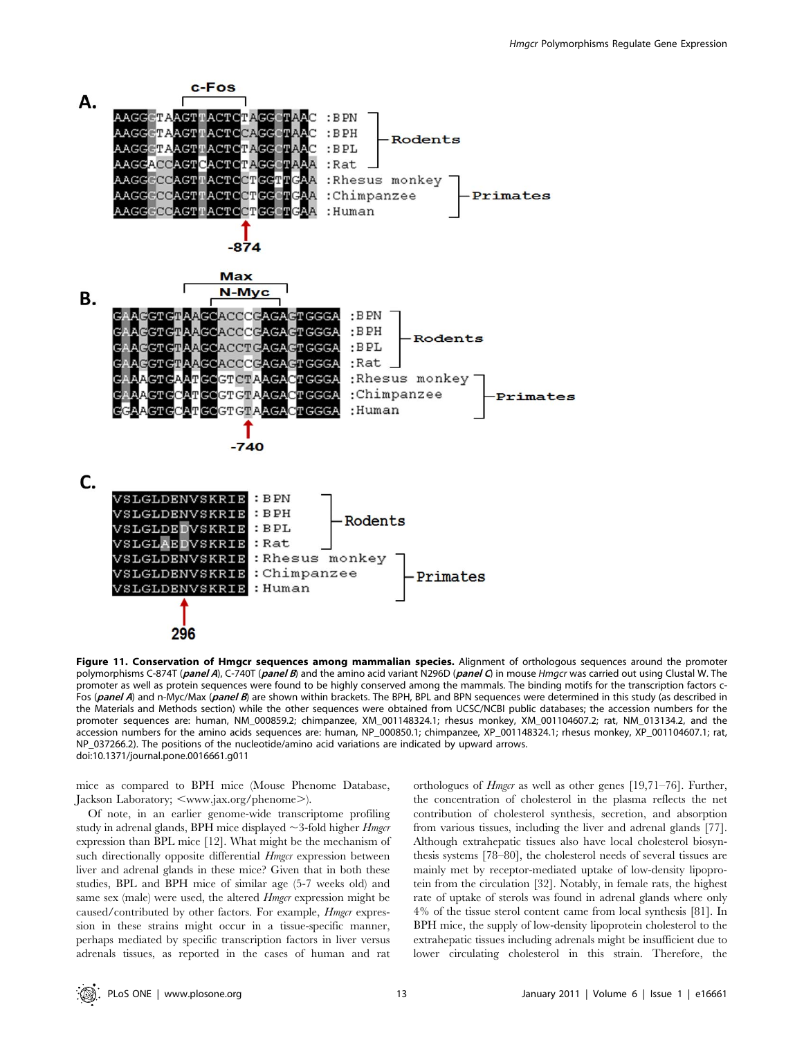

Figure 11. Conservation of Hmgcr sequences among mammalian species. Alignment of orthologous sequences around the promoter polymorphisms C-874T (panel A), C-740T (panel B) and the amino acid variant N296D (panel C) in mouse Hmgcr was carried out using Clustal W. The promoter as well as protein sequences were found to be highly conserved among the mammals. The binding motifs for the transcription factors c-Fos (panel A) and n-Myc/Max (panel B) are shown within brackets. The BPH, BPL and BPN sequences were determined in this study (as described in the Materials and Methods section) while the other sequences were obtained from UCSC/NCBI public databases; the accession numbers for the promoter sequences are: human, NM\_000859.2; chimpanzee, XM\_001148324.1; rhesus monkey, XM\_001104607.2; rat, NM\_013134.2, and the accession numbers for the amino acids sequences are: human, NP\_000850.1; chimpanzee, XP\_001148324.1; rhesus monkey, XP\_001104607.1; rat, NP\_037266.2). The positions of the nucleotide/amino acid variations are indicated by upward arrows. doi:10.1371/journal.pone.0016661.g011

mice as compared to BPH mice (Mouse Phenome Database, Jackson Laboratory; <www.jax.org/phenome>).

Of note, in an earlier genome-wide transcriptome profiling study in adrenal glands, BPH mice displayed  $\sim$  3-fold higher *Hmgcr* expression than BPL mice [12]. What might be the mechanism of such directionally opposite differential *Hmgcr* expression between liver and adrenal glands in these mice? Given that in both these studies, BPL and BPH mice of similar age (5-7 weeks old) and same sex (male) were used, the altered *Hmgcr* expression might be caused/contributed by other factors. For example, *Hmgcr* expression in these strains might occur in a tissue-specific manner, perhaps mediated by specific transcription factors in liver versus adrenals tissues, as reported in the cases of human and rat orthologues of Hmgcr as well as other genes [19,71–76]. Further, the concentration of cholesterol in the plasma reflects the net contribution of cholesterol synthesis, secretion, and absorption from various tissues, including the liver and adrenal glands [77]. Although extrahepatic tissues also have local cholesterol biosynthesis systems [78–80], the cholesterol needs of several tissues are mainly met by receptor-mediated uptake of low-density lipoprotein from the circulation [32]. Notably, in female rats, the highest rate of uptake of sterols was found in adrenal glands where only 4% of the tissue sterol content came from local synthesis [81]. In BPH mice, the supply of low-density lipoprotein cholesterol to the extrahepatic tissues including adrenals might be insufficient due to lower circulating cholesterol in this strain. Therefore, the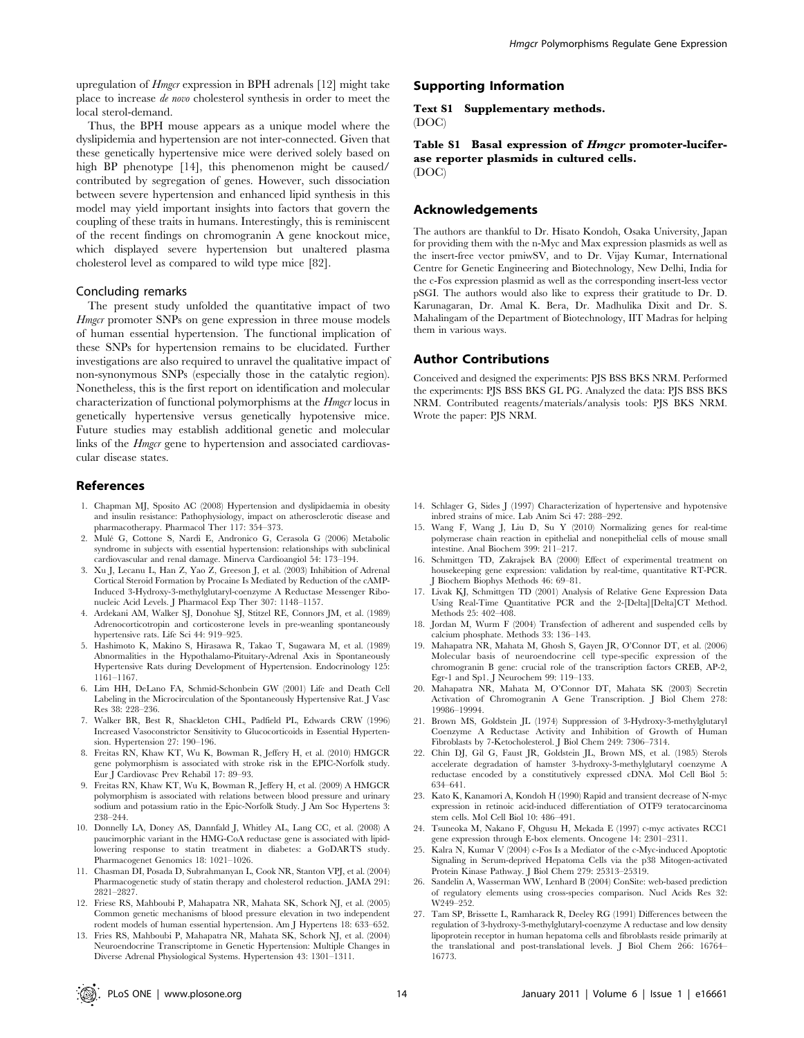upregulation of Hmgcr expression in BPH adrenals [12] might take place to increase de novo cholesterol synthesis in order to meet the local sterol-demand.

Thus, the BPH mouse appears as a unique model where the dyslipidemia and hypertension are not inter-connected. Given that these genetically hypertensive mice were derived solely based on high BP phenotype [14], this phenomenon might be caused/ contributed by segregation of genes. However, such dissociation between severe hypertension and enhanced lipid synthesis in this model may yield important insights into factors that govern the coupling of these traits in humans. Interestingly, this is reminiscent of the recent findings on chromogranin A gene knockout mice, which displayed severe hypertension but unaltered plasma cholesterol level as compared to wild type mice [82].

#### Concluding remarks

The present study unfolded the quantitative impact of two Hmgcr promoter SNPs on gene expression in three mouse models of human essential hypertension. The functional implication of these SNPs for hypertension remains to be elucidated. Further investigations are also required to unravel the qualitative impact of non-synonymous SNPs (especially those in the catalytic region). Nonetheless, this is the first report on identification and molecular characterization of functional polymorphisms at the Hmgcr locus in genetically hypertensive versus genetically hypotensive mice. Future studies may establish additional genetic and molecular links of the *Hmgcr* gene to hypertension and associated cardiovascular disease states.

#### References

- 1. Chapman MJ, Sposito AC (2008) Hypertension and dyslipidaemia in obesity and insulin resistance: Pathophysiology, impact on atherosclerotic disease and pharmacotherapy. Pharmacol Ther 117: 354–373.
- 2. Mule´ G, Cottone S, Nardi E, Andronico G, Cerasola G (2006) Metabolic syndrome in subjects with essential hypertension: relationships with subclinical cardiovascular and renal damage. Minerva Cardioangiol 54: 173–194.
- 3. Xu J, Lecanu L, Han Z, Yao Z, Greeson J, et al. (2003) Inhibition of Adrenal Cortical Steroid Formation by Procaine Is Mediated by Reduction of the cAMP-Induced 3-Hydroxy-3-methylglutaryl-coenzyme A Reductase Messenger Ribonucleic Acid Levels. J Pharmacol Exp Ther 307: 1148–1157.
- 4. Ardekani AM, Walker SJ, Donohue SJ, Stitzel RE, Connors JM, et al. (1989) Adrenocorticotropin and corticosterone levels in pre-weanling spontaneously hypertensive rats. Life Sci 44: 919–925.
- 5. Hashimoto K, Makino S, Hirasawa R, Takao T, Sugawara M, et al. (1989) Abnormalities in the Hypothalamo-Pituitary-Adrenal Axis in Spontaneously Hypertensive Rats during Development of Hypertension. Endocrinology 125: 1161–1167.
- 6. Lim HH, DeLano FA, Schmid-Schonbein GW (2001) Life and Death Cell Labeling in the Microcirculation of the Spontaneously Hypertensive Rat. J Vasc Res 38: 228–236.
- 7. Walker BR, Best R, Shackleton CHL, Padfield PL, Edwards CRW (1996) Increased Vasoconstrictor Sensitivity to Glucocorticoids in Essential Hypertension. Hypertension 27: 190–196.
- 8. Freitas RN, Khaw KT, Wu K, Bowman R, Jeffery H, et al. (2010) HMGCR gene polymorphism is associated with stroke risk in the EPIC-Norfolk study. Eur J Cardiovasc Prev Rehabil 17: 89–93.
- 9. Freitas RN, Khaw KT, Wu K, Bowman R, Jeffery H, et al. (2009) A HMGCR polymorphism is associated with relations between blood pressure and urinary sodium and potassium ratio in the Epic-Norfolk Study. J Am Soc Hypertens 3: 238–244.
- 10. Donnelly LA, Doney AS, Dannfald J, Whitley AL, Lang CC, et al. (2008) A paucimorphic variant in the HMG-CoA reductase gene is associated with lipidlowering response to statin treatment in diabetes: a GoDARTS study. Pharmacogenet Genomics 18: 1021–1026.
- 11. Chasman DI, Posada D, Subrahmanyan L, Cook NR, Stanton VPJ, et al. (2004) Pharmacogenetic study of statin therapy and cholesterol reduction. JAMA 291: 2821–2827.
- 12. Friese RS, Mahboubi P, Mahapatra NR, Mahata SK, Schork NJ, et al. (2005) Common genetic mechanisms of blood pressure elevation in two independent rodent models of human essential hypertension. Am J Hypertens 18: 633–652.
- 13. Fries RS, Mahboubi P, Mahapatra NR, Mahata SK, Schork NJ, et al. (2004) Neuroendocrine Transcriptome in Genetic Hypertension: Multiple Changes in Diverse Adrenal Physiological Systems. Hypertension 43: 1301–1311.

## Supporting Information

Text S1 Supplementary methods. (DOC)

Table S1 Basal expression of Hmgcr promoter-luciferase reporter plasmids in cultured cells. (DOC)

## Acknowledgements

The authors are thankful to Dr. Hisato Kondoh, Osaka University, Japan for providing them with the n-Myc and Max expression plasmids as well as the insert-free vector pmiwSV, and to Dr. Vijay Kumar, International Centre for Genetic Engineering and Biotechnology, New Delhi, India for the c-Fos expression plasmid as well as the corresponding insert-less vector pSGI. The authors would also like to express their gratitude to Dr. D. Karunagaran, Dr. Amal K. Bera, Dr. Madhulika Dixit and Dr. S. Mahalingam of the Department of Biotechnology, IIT Madras for helping them in various ways.

#### Author Contributions

Conceived and designed the experiments: PJS BSS BKS NRM. Performed the experiments: PJS BSS BKS GL PG. Analyzed the data: PJS BSS BKS NRM. Contributed reagents/materials/analysis tools: PJS BKS NRM. Wrote the paper: PJS NRM.

- 14. Schlager G, Sides J (1997) Characterization of hypertensive and hypotensive inbred strains of mice. Lab Anim Sci 47: 288–292.
- 15. Wang F, Wang J, Liu D, Su Y (2010) Normalizing genes for real-time polymerase chain reaction in epithelial and nonepithelial cells of mouse small intestine. Anal Biochem 399: 211–217.
- 16. Schmittgen TD, Zakrajsek BA (2000) Effect of experimental treatment on housekeeping gene expression: validation by real-time, quantitative RT-PCR. J Biochem Biophys Methods 46: 69–81.
- 17. Livak KJ, Schmittgen TD (2001) Analysis of Relative Gene Expression Data Using Real-Time Quantitative PCR and the 2-[Delta][Delta]CT Method. Methods 25: 402–408.
- 18. Jordan M, Wurm F (2004) Transfection of adherent and suspended cells by calcium phosphate. Methods 33: 136–143.
- 19. Mahapatra NR, Mahata M, Ghosh S, Gayen JR, O'Connor DT, et al. (2006) Molecular basis of neuroendocrine cell type-specific expression of the chromogranin B gene: crucial role of the transcription factors CREB, AP-2, Egr-1 and Sp1. J Neurochem 99: 119–133.
- 20. Mahapatra NR, Mahata M, O'Connor DT, Mahata SK (2003) Secretin Activation of Chromogranin A Gene Transcription. J Biol Chem 278: 19986–19994.
- 21. Brown MS, Goldstein JL (1974) Suppression of 3-Hydroxy-3-methylglutaryl Coenzyme A Reductase Activity and Inhibition of Growth of Human Fibroblasts by 7-Ketocholesterol. J Biol Chem 249: 7306–7314.
- 22. Chin DJ, Gil G, Faust JR, Goldstein JL, Brown MS, et al. (1985) Sterols accelerate degradation of hamster 3-hydroxy-3-methylglutaryl coenzyme A reductase encoded by a constitutively expressed cDNA. Mol Cell Biol 5: 634–641.
- 23. Kato K, Kanamori A, Kondoh H (1990) Rapid and transient decrease of N-myc expression in retinoic acid-induced differentiation of OTF9 teratocarcinoma stem cells. Mol Cell Biol 10: 486–491.
- 24. Tsuneoka M, Nakano F, Ohgusu H, Mekada E (1997) c-myc activates RCC1 gene expression through E-box elements. Oncogene 14: 2301–2311.
- 25. Kalra N, Kumar V (2004) c-Fos Is a Mediator of the c-Myc-induced Apoptotic Signaling in Serum-deprived Hepatoma Cells via the p38 Mitogen-activated Protein Kinase Pathway. J Biol Chem 279: 25313–25319.
- 26. Sandelin A, Wasserman WW, Lenhard B (2004) ConSite: web-based prediction of regulatory elements using cross-species comparison. Nucl Acids Res 32: W249–252.
- 27. Tam SP, Brissette L, Ramharack R, Deeley RG (1991) Differences between the regulation of 3-hydroxy-3-methylglutaryl-coenzyme A reductase and low density lipoprotein receptor in human hepatoma cells and fibroblasts reside primarily at the translational and post-translational levels. J Biol Chem 266: 16764– 16773.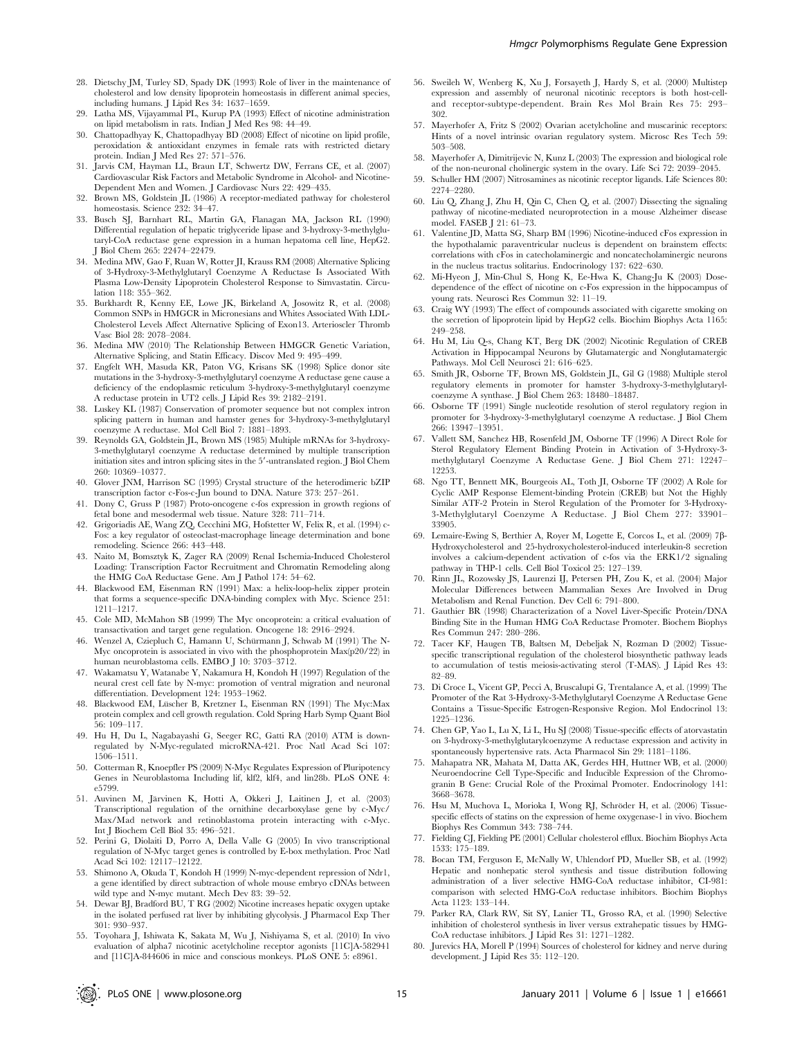- 28. Dietschy JM, Turley SD, Spady DK (1993) Role of liver in the maintenance of cholesterol and low density lipoprotein homeostasis in different animal species, including humans. J Lipid Res 34: 1637–1659.
- 29. Latha MS, Vijayammal PL, Kurup PA (1993) Effect of nicotine administration on lipid metabolism in rats. Indian J Med Res 98: 44–49.
- 30. Chattopadhyay K, Chattopadhyay BD (2008) Effect of nicotine on lipid profile, peroxidation & antioxidant enzymes in female rats with restricted dietary protein. Indian J Med Res 27: 571–576.
- 31. Jarvis CM, Hayman LL, Braun LT, Schwertz DW, Ferrans CE, et al. (2007) Cardiovascular Risk Factors and Metabolic Syndrome in Alcohol- and Nicotine-Dependent Men and Women. J Cardiovasc Nurs 22: 429–435.
- 32. Brown MS, Goldstein JL (1986) A receptor-mediated pathway for cholesterol homeostasis. Science 232: 34–47.
- 33. Busch SJ, Barnhart RL, Martin GA, Flanagan MA, Jackson RL (1990) Differential regulation of hepatic triglyceride lipase and 3-hydroxy-3-methylglutaryl-CoA reductase gene expression in a human hepatoma cell line, HepG2. J Biol Chem 265: 22474–22479.
- 34. Medina MW, Gao F, Ruan W, Rotter JI, Krauss RM (2008) Alternative Splicing of 3-Hydroxy-3-Methylglutaryl Coenzyme A Reductase Is Associated With Plasma Low-Density Lipoprotein Cholesterol Response to Simvastatin. Circulation 118: 355–362.
- 35. Burkhardt R, Kenny EE, Lowe JK, Birkeland A, Josowitz R, et al. (2008) Common SNPs in HMGCR in Micronesians and Whites Associated With LDL-Cholesterol Levels Affect Alternative Splicing of Exon13. Arterioscler Thromb Vasc Biol 28: 2078–2084.
- 36. Medina MW (2010) The Relationship Between HMGCR Genetic Variation, Alternative Splicing, and Statin Efficacy. Discov Med 9: 495–499.
- 37. Engfelt WH, Masuda KR, Paton VG, Krisans SK (1998) Splice donor site mutations in the 3-hydroxy-3-methylglutaryl coenzyme A reductase gene cause a deficiency of the endoplasmic reticulum 3-hydroxy-3-methylglutaryl coenzyme A reductase protein in UT2 cells. J Lipid Res 39: 2182–2191.
- 38. Luskey KL (1987) Conservation of promoter sequence but not complex intron splicing pattern in human and hamster genes for 3-hydroxy-3-methylglutaryl coenzyme A reductase. Mol Cell Biol 7: 1881–1893.
- 39. Reynolds GA, Goldstein JL, Brown MS (1985) Multiple mRNAs for 3-hydroxy-3-methylglutaryl coenzyme A reductase determined by multiple transcription initiation sites and intron splicing sites in the 5'-untranslated region. J Biol Chem 260: 10369–10377.
- 40. Glover JNM, Harrison SC (1995) Crystal structure of the heterodimeric bZIP transcription factor c-Fos-c-Jun bound to DNA. Nature 373: 257–261.
- 41. Dony C, Gruss P (1987) Proto-oncogene c-fos expression in growth regions of fetal bone and mesodermal web tissue. Nature 328: 711–714.
- 42. Grigoriadis AE, Wang ZQ, Cecchini MG, Hofstetter W, Felix R, et al. (1994) c-Fos: a key regulator of osteoclast-macrophage lineage determination and bone remodeling. Science 266: 443–448.
- 43. Naito M, Bomsztyk K, Zager RA (2009) Renal Ischemia-Induced Cholesterol Loading: Transcription Factor Recruitment and Chromatin Remodeling along the HMG CoA Reductase Gene. Am J Pathol 174: 54–62.
- 44. Blackwood EM, Eisenman RN (1991) Max: a helix-loop-helix zipper protein that forms a sequence-specific DNA-binding complex with Myc. Science 251: 1211–1217.
- 45. Cole MD, McMahon SB (1999) The Myc oncoprotein: a critical evaluation of transactivation and target gene regulation. Oncogene 18: 2916–2924.
- 46. Wenzel A, Cziepluch C, Hamann U, Schürmann J, Schwab M (1991) The N-Myc oncoprotein is associated in vivo with the phosphoprotein Max(p20/22) in human neuroblastoma cells. EMBO J 10: 3703–3712.
- 47. Wakamatsu Y, Watanabe Y, Nakamura H, Kondoh H (1997) Regulation of the neural crest cell fate by N-myc: promotion of ventral migration and neuronal differentiation. Development 124: 1953–1962.
- 48. Blackwood EM, Lüscher B, Kretzner L, Eisenman RN (1991) The Myc:Max protein complex and cell growth regulation. Cold Spring Harb Symp Quant Biol 56: 109–117.
- 49. Hu H, Du L, Nagabayashi G, Seeger RC, Gatti RA (2010) ATM is downregulated by N-Myc-regulated microRNA-421. Proc Natl Acad Sci 107: 1506–1511.
- 50. Cotterman R, Knoepfler PS (2009) N-Myc Regulates Expression of Pluripotency Genes in Neuroblastoma Including lif, klf2, klf4, and lin28b. PLoS ONE 4: e5799.
- 51. Auvinen M, Järvinen K, Hotti A, Okkeri J, Laitinen J, et al. (2003) Transcriptional regulation of the ornithine decarboxylase gene by c-Myc/ Max/Mad network and retinoblastoma protein interacting with c-Myc. Int J Biochem Cell Biol 35: 496–521.
- 52. Perini G, Diolaiti D, Porro A, Della Valle G (2005) In vivo transcriptional regulation of N-Myc target genes is controlled by E-box methylation. Proc Natl Acad Sci 102: 12117–12122.
- 53. Shimono A, Okuda T, Kondoh H (1999) N-myc-dependent repression of Ndr1, a gene identified by direct subtraction of whole mouse embryo cDNAs between wild type and N-myc mutant. Mech Dev 83: 39–52.
- 54. Dewar BJ, Bradford BU, T RG (2002) Nicotine increases hepatic oxygen uptake in the isolated perfused rat liver by inhibiting glycolysis. J Pharmacol Exp Ther 301: 930–937.
- 55. Toyohara J, Ishiwata K, Sakata M, Wu J, Nishiyama S, et al. (2010) In vivo evaluation of alpha7 nicotinic acetylcholine receptor agonists [11C]A-582941 and [11C]A-844606 in mice and conscious monkeys. PLoS ONE 5: e8961.
- Hmgcr Polymorphisms Regulate Gene Expression
- 56. Sweileh W, Wenberg K, Xu J, Forsayeth J, Hardy S, et al. (2000) Multistep expression and assembly of neuronal nicotinic receptors is both host-celland receptor-subtype-dependent. Brain Res Mol Brain Res 75: 293– 302.
- 57. Mayerhofer A, Fritz S (2002) Ovarian acetylcholine and muscarinic receptors: Hints of a novel intrinsic ovarian regulatory system. Microsc Res Tech 59: 503–508.
- 58. Mayerhofer A, Dimitrijevic N, Kunz L (2003) The expression and biological role of the non-neuronal cholinergic system in the ovary. Life Sci 72: 2039–2045.
- 59. Schuller HM (2007) Nitrosamines as nicotinic receptor ligands. Life Sciences 80: 2274–2280.
- 60. Liu Q, Zhang J, Zhu H, Qin C, Chen Q, et al. (2007) Dissecting the signaling pathway of nicotine-mediated neuroprotection in a mouse Alzheimer disease model. FASEB J 21: 61–73.
- 61. Valentine JD, Matta SG, Sharp BM (1996) Nicotine-induced cFos expression in the hypothalamic paraventricular nucleus is dependent on brainstem effects: correlations with cFos in catecholaminergic and noncatecholaminergic neurons in the nucleus tractus solitarius. Endocrinology 137: 622–630.
- 62. Mi-Hyeon J, Min-Chul S, Hong K, Ee-Hwa K, Chang-Ju K (2003) Dosedependence of the effect of nicotine on c-Fos expression in the hippocampus of young rats. Neurosci Res Commun 32: 11–19.
- 63. Craig WY (1993) The effect of compounds associated with cigarette smoking on the secretion of lipoprotein lipid by HepG2 cells. Biochim Biophys Acta 1165: 249–258.
- 64. Hu M, Liu Q-s, Chang KT, Berg DK (2002) Nicotinic Regulation of CREB Activation in Hippocampal Neurons by Glutamatergic and Nonglutamatergic Pathways. Mol Cell Neurosci 21: 616–625.
- 65. Smith JR, Osborne TF, Brown MS, Goldstein JL, Gil G (1988) Multiple sterol regulatory elements in promoter for hamster 3-hydroxy-3-methylglutarylcoenzyme A synthase. J Biol Chem 263: 18480–18487.
- 66. Osborne TF (1991) Single nucleotide resolution of sterol regulatory region in promoter for 3-hydroxy-3-methylglutaryl coenzyme A reductase. J Biol Chem 266: 13947–13951.
- 67. Vallett SM, Sanchez HB, Rosenfeld JM, Osborne TF (1996) A Direct Role for Sterol Regulatory Element Binding Protein in Activation of 3-Hydroxy-3 methylglutaryl Coenzyme A Reductase Gene. J Biol Chem 271: 12247– 12253.
- 68. Ngo TT, Bennett MK, Bourgeois AL, Toth JI, Osborne TF (2002) A Role for Cyclic AMP Response Element-binding Protein (CREB) but Not the Highly Similar ATF-2 Protein in Sterol Regulation of the Promoter for 3-Hydroxy-3-Methylglutaryl Coenzyme A Reductase. J Biol Chem 277: 33901– 33905.
- 69. Lemaire-Ewing S, Berthier A, Royer M, Logette E, Corcos L, et al. (2009) 7b-Hydroxycholesterol and 25-hydroxycholesterol-induced interleukin-8 secretion involves a calcium-dependent activation of c-fos via the ERK1/2 signaling pathway in THP-1 cells. Cell Biol Toxicol 25: 127–139.
- 70. Rinn JL, Rozowsky JS, Laurenzi IJ, Petersen PH, Zou K, et al. (2004) Major Molecular Differences between Mammalian Sexes Are Involved in Drug Metabolism and Renal Function. Dev Cell 6: 791–800.
- 71. Gauthier BR (1998) Characterization of a Novel Liver-Specific Protein/DNA Binding Site in the Human HMG CoA Reductase Promoter. Biochem Biophys Res Commun 247: 280–286.
- 72. Tacer KF, Haugen TB, Baltsen M, Debeljak N, Rozman D (2002) Tissuespecific transcriptional regulation of the cholesterol biosynthetic pathway leads to accumulation of testis meiosis-activating sterol (T-MAS). J Lipid Res 43: 82–89.
- 73. Di Croce L, Vicent GP, Pecci A, Bruscalupi G, Trentalance A, et al. (1999) The Promoter of the Rat 3-Hydroxy-3-Methylglutaryl Coenzyme A Reductase Gene Contains a Tissue-Specific Estrogen-Responsive Region. Mol Endocrinol 13: 1225–1236.
- 74. Chen GP, Yao L, Lu X, Li L, Hu SJ (2008) Tissue-specific effects of atorvastatin on 3-hydroxy-3-methylglutarylcoenzyme A reductase expression and activity in spontaneously hypertensive rats. Acta Pharmacol Sin 29: 1181–1186.
- 75. Mahapatra NR, Mahata M, Datta AK, Gerdes HH, Huttner WB, et al. (2000) Neuroendocrine Cell Type-Specific and Inducible Expression of the Chromogranin B Gene: Crucial Role of the Proximal Promoter. Endocrinology 141: 3668–3678.
- 76. Hsu M, Muchova L, Morioka I, Wong RJ, Schröder H, et al. (2006) Tissuespecific effects of statins on the expression of heme oxygenase-1 in vivo. Biochem Biophys Res Commun 343: 738–744.
- 77. Fielding CJ, Fielding PE (2001) Cellular cholesterol efflux. Biochim Biophys Acta 1533: 175–189.
- 78. Bocan TM, Ferguson E, McNally W, Uhlendorf PD, Mueller SB, et al. (1992) Hepatic and nonhepatic sterol synthesis and tissue distribution following administration of a liver selective HMG-CoA reductase inhibitor, CI-981: comparison with selected HMG-CoA reductase inhibitors. Biochim Biophys Acta 1123: 133–144.
- 79. Parker RA, Clark RW, Sit SY, Lanier TL, Grosso RA, et al. (1990) Selective inhibition of cholesterol synthesis in liver versus extrahepatic tissues by HMG-CoA reductase inhibitors. J Lipid Res 31: 1271–1282.
- 80. Jurevics HA, Morell P (1994) Sources of cholesterol for kidney and nerve during development. J Lipid Res 35: 112–120.